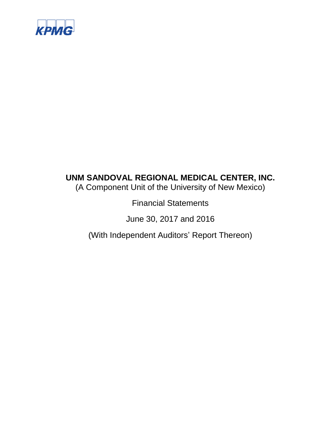

(A Component Unit of the University of New Mexico)

Financial Statements

June 30, 2017 and 2016

(With Independent Auditors' Report Thereon)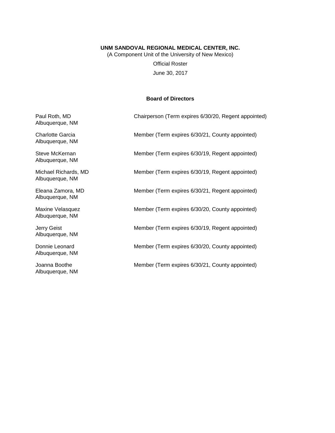(A Component Unit of the University of New Mexico)

Official Roster June 30, 2017

#### **Board of Directors**

| Paul Roth, MD<br>Albuquerque, NM        | Chairperson (Term expires 6/30/20, Regent appointed) |
|-----------------------------------------|------------------------------------------------------|
| Charlotte Garcia<br>Albuquerque, NM     | Member (Term expires 6/30/21, County appointed)      |
| Steve McKernan<br>Albuquerque, NM       | Member (Term expires 6/30/19, Regent appointed)      |
| Michael Richards, MD<br>Albuquerque, NM | Member (Term expires 6/30/19, Regent appointed)      |
| Eleana Zamora, MD<br>Albuquerque, NM    | Member (Term expires 6/30/21, Regent appointed)      |
| Maxine Velasquez<br>Albuquerque, NM     | Member (Term expires 6/30/20, County appointed)      |
| Jerry Geist<br>Albuquerque, NM          | Member (Term expires 6/30/19, Regent appointed)      |
| Donnie Leonard<br>Albuquerque, NM       | Member (Term expires 6/30/20, County appointed)      |
| Joanna Boothe<br>Albuquerque, NM        | Member (Term expires 6/30/21, County appointed)      |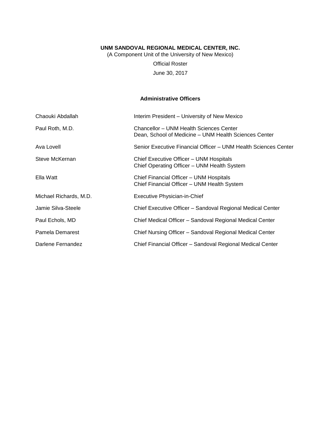(A Component Unit of the University of New Mexico)

Official Roster June 30, 2017

### **Administrative Officers**

| Chaouki Abdallah       | Interim President – University of New Mexico                                                     |
|------------------------|--------------------------------------------------------------------------------------------------|
| Paul Roth, M.D.        | Chancellor – UNM Health Sciences Center<br>Dean, School of Medicine - UNM Health Sciences Center |
| Ava Lovell             | Senior Executive Financial Officer – UNM Health Sciences Center                                  |
| Steve McKernan         | Chief Executive Officer - UNM Hospitals<br>Chief Operating Officer - UNM Health System           |
| Ella Watt              | Chief Financial Officer - UNM Hospitals<br>Chief Financial Officer - UNM Health System           |
| Michael Richards, M.D. | Executive Physician-in-Chief                                                                     |
| Jamie Silva-Steele     | Chief Executive Officer - Sandoval Regional Medical Center                                       |
| Paul Echols, MD        | Chief Medical Officer - Sandoval Regional Medical Center                                         |
| Pamela Demarest        | Chief Nursing Officer - Sandoval Regional Medical Center                                         |
| Darlene Fernandez      | Chief Financial Officer - Sandoval Regional Medical Center                                       |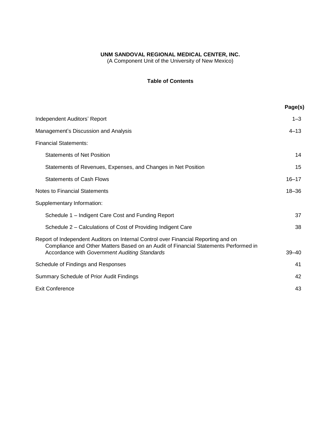(A Component Unit of the University of New Mexico)

### **Table of Contents**

|                                                                                                                                                                           | Page(s)   |
|---------------------------------------------------------------------------------------------------------------------------------------------------------------------------|-----------|
| Independent Auditors' Report                                                                                                                                              | $1 - 3$   |
| Management's Discussion and Analysis                                                                                                                                      | $4 - 13$  |
| <b>Financial Statements:</b>                                                                                                                                              |           |
| <b>Statements of Net Position</b>                                                                                                                                         | 14        |
| Statements of Revenues, Expenses, and Changes in Net Position                                                                                                             | 15        |
| <b>Statements of Cash Flows</b>                                                                                                                                           | $16 - 17$ |
| Notes to Financial Statements                                                                                                                                             | $18 - 36$ |
| Supplementary Information:                                                                                                                                                |           |
| Schedule 1 - Indigent Care Cost and Funding Report                                                                                                                        | 37        |
| Schedule 2 – Calculations of Cost of Providing Indigent Care                                                                                                              | 38        |
| Report of Independent Auditors on Internal Control over Financial Reporting and on<br>Compliance and Other Matters Based on an Audit of Financial Statements Performed in |           |
| Accordance with Government Auditing Standards                                                                                                                             | $39 - 40$ |
| Schedule of Findings and Responses                                                                                                                                        | 41        |
| Summary Schedule of Prior Audit Findings                                                                                                                                  | 42        |
| <b>Exit Conference</b>                                                                                                                                                    | 43        |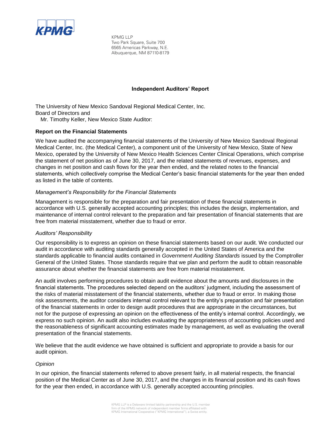

KPMG LLP Two Park Square, Suite 700 6565 Americas Parkway, N.E. Albuquerque, NM 87110-8179

#### **Independent Auditors' Report**

The University of New Mexico Sandoval Regional Medical Center, Inc. Board of Directors and

Mr. Timothy Keller, New Mexico State Auditor:

#### **Report on the Financial Statements**

We have audited the accompanying financial statements of the University of New Mexico Sandoval Regional Medical Center, Inc. (the Medical Center), a component unit of the University of New Mexico, State of New Mexico, operated by the University of New Mexico Health Sciences Center Clinical Operations, which comprise the statement of net position as of June 30, 2017, and the related statements of revenues, expenses, and changes in net position and cash flows for the year then ended, and the related notes to the financial statements, which collectively comprise the Medical Center's basic financial statements for the year then ended as listed in the table of contents.

#### *Management's Responsibility for the Financial Statements*

Management is responsible for the preparation and fair presentation of these financial statements in accordance with U.S. generally accepted accounting principles; this includes the design, implementation, and maintenance of internal control relevant to the preparation and fair presentation of financial statements that are free from material misstatement, whether due to fraud or error.

#### *Auditors' Responsibility*

Our responsibility is to express an opinion on these financial statements based on our audit. We conducted our audit in accordance with auditing standards generally accepted in the United States of America and the standards applicable to financial audits contained in *Government Auditing Standards* issued by the Comptroller General of the United States. Those standards require that we plan and perform the audit to obtain reasonable assurance about whether the financial statements are free from material misstatement.

An audit involves performing procedures to obtain audit evidence about the amounts and disclosures in the financial statements. The procedures selected depend on the auditors' judgment, including the assessment of the risks of material misstatement of the financial statements, whether due to fraud or error. In making those risk assessments, the auditor considers internal control relevant to the entity's preparation and fair presentation of the financial statements in order to design audit procedures that are appropriate in the circumstances, but not for the purpose of expressing an opinion on the effectiveness of the entity's internal control. Accordingly, we express no such opinion. An audit also includes evaluating the appropriateness of accounting policies used and the reasonableness of significant accounting estimates made by management, as well as evaluating the overall presentation of the financial statements.

We believe that the audit evidence we have obtained is sufficient and appropriate to provide a basis for our audit opinion.

#### *Opinion*

In our opinion, the financial statements referred to above present fairly, in all material respects, the financial position of the Medical Center as of June 30, 2017, and the changes in its financial position and its cash flows for the year then ended, in accordance with U.S. generally accepted accounting principles.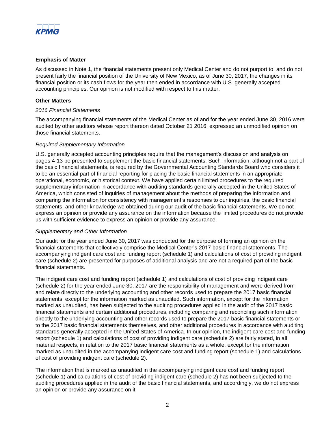

#### **Emphasis of Matter**

As discussed in Note 1, the financial statements present only Medical Center and do not purport to, and do not, present fairly the financial position of the University of New Mexico, as of June 30, 2017, the changes in its financial position or its cash flows for the year then ended in accordance with U.S. generally accepted accounting principles. Our opinion is not modified with respect to this matter.

#### **Other Matters**

#### *2016 Financial Statements*

The accompanying financial statements of the Medical Center as of and for the year ended June 30, 2016 were audited by other auditors whose report thereon dated October 21 2016, expressed an unmodified opinion on those financial statements.

#### *Required Supplementary Information*

U.S. generally accepted accounting principles require that the management's discussion and analysis on pages 4-13 be presented to supplement the basic financial statements. Such information, although not a part of the basic financial statements, is required by the Governmental Accounting Standards Board who considers it to be an essential part of financial reporting for placing the basic financial statements in an appropriate operational, economic, or historical context. We have applied certain limited procedures to the required supplementary information in accordance with auditing standards generally accepted in the United States of America, which consisted of inquiries of management about the methods of preparing the information and comparing the information for consistency with management's responses to our inquiries, the basic financial statements, and other knowledge we obtained during our audit of the basic financial statements. We do not express an opinion or provide any assurance on the information because the limited procedures do not provide us with sufficient evidence to express an opinion or provide any assurance.

#### *Supplementary and Other Information*

Our audit for the year ended June 30, 2017 was conducted for the purpose of forming an opinion on the financial statements that collectively comprise the Medical Center's 2017 basic financial statements. The accompanying indigent care cost and funding report (schedule 1) and calculations of cost of providing indigent care (schedule 2) are presented for purposes of additional analysis and are not a required part of the basic financial statements.

The indigent care cost and funding report (schedule 1) and calculations of cost of providing indigent care (schedule 2) for the year ended June 30, 2017 are the responsibility of management and were derived from and relate directly to the underlying accounting and other records used to prepare the 2017 basic financial statements, except for the information marked as unaudited. Such information, except for the information marked as unaudited, has been subjected to the auditing procedures applied in the audit of the 2017 basic financial statements and certain additional procedures, including comparing and reconciling such information directly to the underlying accounting and other records used to prepare the 2017 basic financial statements or to the 2017 basic financial statements themselves, and other additional procedures in accordance with auditing standards generally accepted in the United States of America. In our opinion, the indigent care cost and funding report (schedule 1) and calculations of cost of providing indigent care (schedule 2) are fairly stated, in all material respects, in relation to the 2017 basic financial statements as a whole, except for the information marked as unaudited in the accompanying indigent care cost and funding report (schedule 1) and calculations of cost of providing indigent care (schedule 2).

The information that is marked as unaudited in the accompanying indigent care cost and funding report (schedule 1) and calculations of cost of providing indigent care (schedule 2) has not been subjected to the auditing procedures applied in the audit of the basic financial statements, and accordingly, we do not express an opinion or provide any assurance on it.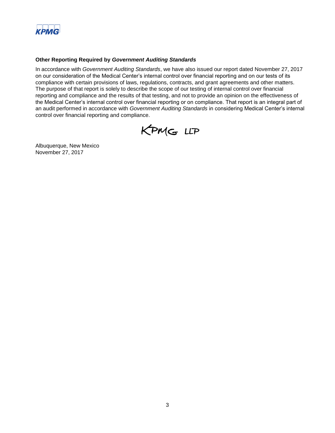

#### **Other Reporting Required by** *Government Auditing Standards*

In accordance with *Government Auditing Standards*, we have also issued our report dated November 27, 2017 on our consideration of the Medical Center's internal control over financial reporting and on our tests of its compliance with certain provisions of laws, regulations, contracts, and grant agreements and other matters. The purpose of that report is solely to describe the scope of our testing of internal control over financial reporting and compliance and the results of that testing, and not to provide an opinion on the effectiveness of the Medical Center's internal control over financial reporting or on compliance. That report is an integral part of an audit performed in accordance with *Government Auditing Standards* in considering Medical Center's internal control over financial reporting and compliance.



Albuquerque, New Mexico November 27, 2017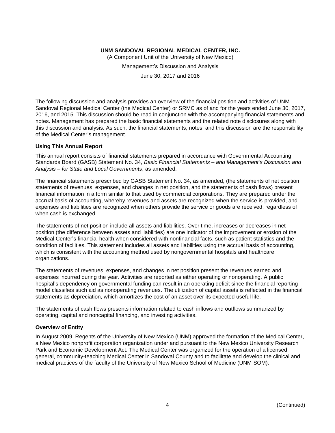(A Component Unit of the University of New Mexico)

Management's Discussion and Analysis June 30, 2017 and 2016

The following discussion and analysis provides an overview of the financial position and activities of UNM Sandoval Regional Medical Center (the Medical Center) or SRMC as of and for the years ended June 30, 2017, 2016, and 2015. This discussion should be read in conjunction with the accompanying financial statements and notes. Management has prepared the basic financial statements and the related note disclosures along with this discussion and analysis. As such, the financial statements, notes, and this discussion are the responsibility of the Medical Center's management.

#### **Using This Annual Report**

This annual report consists of financial statements prepared in accordance with Governmental Accounting Standards Board (GASB) Statement No. 34, *Basic Financial Statements – and Management's Discussion and Analysis – for State and Local Governments*, as amended.

The financial statements prescribed by GASB Statement No. 34, as amended, (the statements of net position, statements of revenues, expenses, and changes in net position, and the statements of cash flows) present financial information in a form similar to that used by commercial corporations. They are prepared under the accrual basis of accounting, whereby revenues and assets are recognized when the service is provided, and expenses and liabilities are recognized when others provide the service or goods are received, regardless of when cash is exchanged.

The statements of net position include all assets and liabilities. Over time, increases or decreases in net position (the difference between assets and liabilities) are one indicator of the improvement or erosion of the Medical Center's financial health when considered with nonfinancial facts, such as patient statistics and the condition of facilities. This statement includes all assets and liabilities using the accrual basis of accounting, which is consistent with the accounting method used by nongovernmental hospitals and healthcare organizations.

The statements of revenues, expenses, and changes in net position present the revenues earned and expenses incurred during the year. Activities are reported as either operating or nonoperating. A public hospital's dependency on governmental funding can result in an operating deficit since the financial reporting model classifies such aid as nonoperating revenues. The utilization of capital assets is reflected in the financial statements as depreciation, which amortizes the cost of an asset over its expected useful life.

The statements of cash flows presents information related to cash inflows and outflows summarized by operating, capital and noncapital financing, and investing activities.

#### **Overview of Entity**

In August 2009, Regents of the University of New Mexico (UNM) approved the formation of the Medical Center, a New Mexico nonprofit corporation organization under and pursuant to the New Mexico University Research Park and Economic Development Act. The Medical Center was organized for the operation of a licensed general, community-teaching Medical Center in Sandoval County and to facilitate and develop the clinical and medical practices of the faculty of the University of New Mexico School of Medicine (UNM SOM).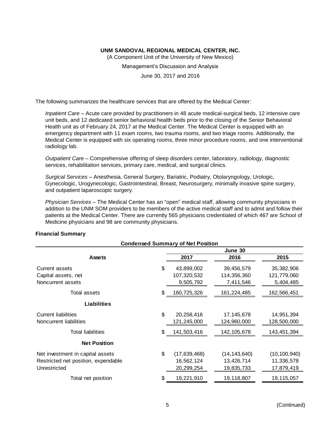(A Component Unit of the University of New Mexico)

Management's Discussion and Analysis June 30, 2017 and 2016

The following summarizes the healthcare services that are offered by the Medical Center:

*Inpatient Care* – Acute care provided by practitioners in 48 acute medical-surgical beds, 12 intensive care unit beds, and 12 dedicated senior behavioral health beds prior to the closing of the Senior Behavioral Health unit as of February 24, 2017 at the Medical Center. The Medical Center is equipped with an emergency department with 11 exam rooms, two trauma rooms, and two triage rooms. Additionally, the Medical Center is equipped with six operating rooms, three minor procedure rooms, and one interventional radiology lab.

*Outpatient Care* – Comprehensive offering of sleep disorders center, laboratory, radiology, diagnostic services, rehabilitation services, primary care, medical, and surgical clinics.

*Surgical Services* – Anesthesia, General Surgery, Bariatric, Podiatry, Otolaryngology, Urologic, Gynecologic, Urogynecologic, Gastrointestinal, Breast, Neurosurgery, minimally invasive spine surgery, and outpatient laparoscopic surgery.

*Physician Services* – The Medical Center has an "open" medical staff, allowing community physicians in addition to the UNM SOM providers to be members of the active medical staff and to admit and follow their patients at the Medical Center. There are currently 565 physicians credentialed of which 467 are School of Medicine physicians and 98 are community physicians.

| <b>Condensed Summary of Net Position</b> |    |                |                |                |  |  |
|------------------------------------------|----|----------------|----------------|----------------|--|--|
|                                          |    |                | June 30        |                |  |  |
| <b>Assets</b>                            |    | 2017           | 2016           | 2015           |  |  |
| Current assets                           | \$ | 43,899,002     | 39,456,579     | 35,382,906     |  |  |
| Capital assets, net                      |    | 107,320,532    | 114,356,360    | 121,779,060    |  |  |
| Noncurrent assets                        |    | 9,505,792      | 7,411,546      | 5,404,485      |  |  |
| Total assets                             | \$ | 160,725,326    | 161,224,485    | 162,566,451    |  |  |
| <b>Liabilities</b>                       |    |                |                |                |  |  |
| <b>Current liabilities</b>               | \$ | 20,258,416     | 17,145,678     | 14,951,394     |  |  |
| Noncurrent liabilities                   |    | 121,245,000    | 124,960,000    | 128,500,000    |  |  |
| <b>Total liabilities</b>                 | \$ | 141,503,416    | 142, 105, 678  | 143,451,394    |  |  |
| <b>Net Position</b>                      |    |                |                |                |  |  |
| Net investment in capital assets         | \$ | (17, 639, 468) | (14, 143, 640) | (10, 100, 940) |  |  |
| Restricted net position, expendable      |    | 16,562,124     | 13,426,714     | 11,336,578     |  |  |
| Unrestricted                             |    | 20,299,254     | 19,835,733     | 17,879,419     |  |  |
| Total net position                       | \$ | 19,221,910     | 19,118,807     | 19,115,057     |  |  |

#### **Financial Summary**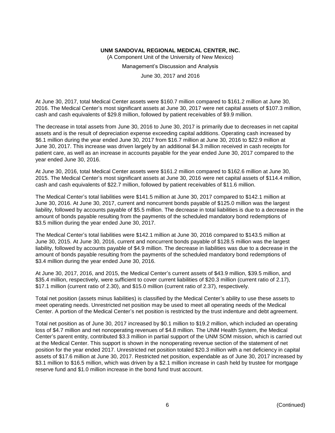(A Component Unit of the University of New Mexico)

Management's Discussion and Analysis June 30, 2017 and 2016

At June 30, 2017, total Medical Center assets were \$160.7 million compared to \$161.2 million at June 30, 2016. The Medical Center's most significant assets at June 30, 2017 were net capital assets of \$107.3 million, cash and cash equivalents of \$29.8 million, followed by patient receivables of \$9.9 million.

The decrease in total assets from June 30, 2016 to June 30, 2017 is primarily due to decreases in net capital assets and is the result of depreciation expense exceeding capital additions. Operating cash increased by \$6.1 million during the year ended June 30, 2017 from \$16.7 million at June 30, 2016 to \$22.9 million at June 30, 2017. This increase was driven largely by an additional \$4.3 million received in cash receipts for patient care, as well as an increase in accounts payable for the year ended June 30, 2017 compared to the year ended June 30, 2016.

At June 30, 2016, total Medical Center assets were \$161.2 million compared to \$162.6 million at June 30, 2015. The Medical Center's most significant assets at June 30, 2016 were net capital assets of \$114.4 million, cash and cash equivalents of \$22.7 million, followed by patient receivables of \$11.6 million.

The Medical Center's total liabilities were \$141.5 million at June 30, 2017 compared to \$142.1 million at June 30, 2016. At June 30, 2017, current and noncurrent bonds payable of \$125.0 million was the largest liability, followed by accounts payable of \$5.5 million. The decrease in total liabilities is due to a decrease in the amount of bonds payable resulting from the payments of the scheduled mandatory bond redemptions of \$3.5 million during the year ended June 30, 2017.

The Medical Center's total liabilities were \$142.1 million at June 30, 2016 compared to \$143.5 million at June 30, 2015. At June 30, 2016, current and noncurrent bonds payable of \$128.5 million was the largest liability, followed by accounts payable of \$4.9 million. The decrease in liabilities was due to a decrease in the amount of bonds payable resulting from the payments of the scheduled mandatory bond redemptions of \$3.4 million during the year ended June 30, 2016.

At June 30, 2017, 2016, and 2015, the Medical Center's current assets of \$43.9 million, \$39.5 million, and \$35.4 million, respectively, were sufficient to cover current liabilities of \$20.3 million (current ratio of 2.17), \$17.1 million (current ratio of 2.30), and \$15.0 million (current ratio of 2.37), respectively.

Total net position (assets minus liabilities) is classified by the Medical Center's ability to use these assets to meet operating needs. Unrestricted net position may be used to meet all operating needs of the Medical Center. A portion of the Medical Center's net position is restricted by the trust indenture and debt agreement.

Total net position as of June 30, 2017 increased by \$0.1 million to \$19.2 million, which included an operating loss of \$4.7 million and net nonoperating revenues of \$4.8 million. The UNM Health System, the Medical Center's parent entity, contributed \$3.3 million in partial support of the UNM SOM mission, which is carried out at the Medical Center. This support is shown in the nonoperating revenue section of the statement of net position for the year ended 2017. Unrestricted net position totaled \$20.3 million with a net deficiency in capital assets of \$17.6 million at June 30, 2017. Restricted net position, expendable as of June 30, 2017 increased by \$3.1 million to \$16.5 million, which was driven by a \$2.1 million increase in cash held by trustee for mortgage reserve fund and \$1.0 million increase in the bond fund trust account.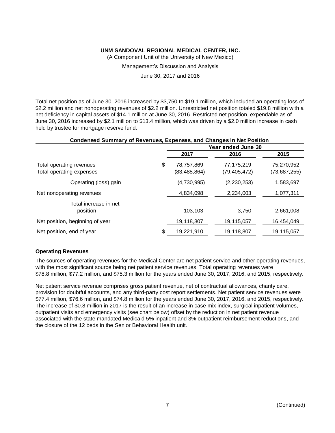(A Component Unit of the University of New Mexico)

Management's Discussion and Analysis

June 30, 2017 and 2016

Total net position as of June 30, 2016 increased by \$3,750 to \$19.1 million, which included an operating loss of \$2.2 million and net nonoperating revenues of \$2.2 million. Unrestricted net position totaled \$19.8 million with a net deficiency in capital assets of \$14.1 million at June 30, 2016. Restricted net position, expendable as of June 30, 2016 increased by \$2.1 million to \$13.4 million, which was driven by a \$2.0 million increase in cash held by trustee for mortgage reserve fund.

| <b>Condensed Summary of Revenues, Expenses, and Changes in Net Position</b> |    |                |                    |                |  |
|-----------------------------------------------------------------------------|----|----------------|--------------------|----------------|--|
|                                                                             |    |                | Year ended June 30 |                |  |
|                                                                             |    | 2017           | 2016               | 2015           |  |
| Total operating revenues                                                    | \$ | 78,757,869     | 77, 175, 219       | 75,270,952     |  |
| Total operating expenses                                                    |    | (83, 488, 864) | (79, 405, 472)     | (73, 687, 255) |  |
| Operating (loss) gain                                                       |    | (4,730,995)    | (2, 230, 253)      | 1,583,697      |  |
| Net nonoperating revenues                                                   |    | 4,834,098      | 2,234,003          | 1,077,311      |  |
| Total increase in net                                                       |    |                |                    |                |  |
| position                                                                    |    | 103,103        | 3,750              | 2,661,008      |  |
| Net position, beginning of year                                             |    | 19,118,807     | 19,115,057         | 16,454,049     |  |
| Net position, end of year                                                   | \$ | 19,221,910     | 19,118,807         | 19,115,057     |  |

#### **Operating Revenues**

The sources of operating revenues for the Medical Center are net patient service and other operating revenues, with the most significant source being net patient service revenues. Total operating revenues were \$78.8 million, \$77.2 million, and \$75.3 million for the years ended June 30, 2017, 2016, and 2015, respectively.

Net patient service revenue comprises gross patient revenue, net of contractual allowances, charity care, provision for doubtful accounts, and any third-party cost report settlements. Net patient service revenues were \$77.4 million, \$76.6 million, and \$74.8 million for the years ended June 30, 2017, 2016, and 2015, respectively. The increase of \$0.8 million in 2017 is the result of an increase in case mix index, surgical inpatient volumes, outpatient visits and emergency visits (see chart below) offset by the reduction in net patient revenue associated with the state mandated Medicaid 5% inpatient and 3% outpatient reimbursement reductions, and the closure of the 12 beds in the Senior Behavioral Health unit.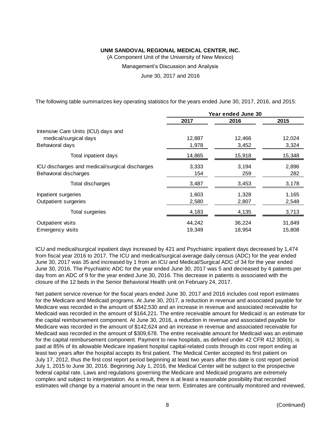(A Component Unit of the University of New Mexico)

Management's Discussion and Analysis

June 30, 2017 and 2016

The following table summarizes key operating statistics for the years ended June 30, 2017, 2016, and 2015:

|                                                | Year ended June 30 |        |        |  |  |
|------------------------------------------------|--------------------|--------|--------|--|--|
|                                                | 2017               | 2016   | 2015   |  |  |
| Intensive Care Units (ICU) days and            |                    |        |        |  |  |
| medical/surgical days                          | 12,887             | 12,466 | 12,024 |  |  |
| Behavioral days                                | 1,978              | 3,452  | 3,324  |  |  |
| Total inpatient days                           | 14,865             | 15,918 | 15,348 |  |  |
| ICU discharges and medical/surgical discharges | 3,333              | 3,194  | 2,896  |  |  |
| Behavioral discharges                          | 154                | 259    | 282    |  |  |
| Total discharges                               | 3,487              | 3,453  | 3,178  |  |  |
| Inpatient surgeries                            | 1,603              | 1,328  | 1,165  |  |  |
| Outpatient surgeries                           | 2,580              | 2,807  | 2,548  |  |  |
| Total surgeries                                | 4,183              | 4,135  | 3,713  |  |  |
| Outpatient visits                              | 44,242             | 36,224 | 31,849 |  |  |
| Emergency visits                               | 19,349             | 18,954 | 15,808 |  |  |

ICU and medical/surgical inpatient days increased by 421 and Psychiatric inpatient days decreased by 1,474 from fiscal year 2016 to 2017. The ICU and medical/surgical average daily census (ADC) for the year ended June 30, 2017 was 35 and increased by 1 from an ICU and Medical/Surgical ADC of 34 for the year ended June 30, 2016. The Psychiatric ADC for the year ended June 30, 2017 was 5 and decreased by 4 patients per day from an ADC of 9 for the year ended June 30, 2016. This decrease in patients is associated with the closure of the 12 beds in the Senior Behavioral Health unit on February 24, 2017.

Net patient service revenue for the fiscal years ended June 30, 2017 and 2016 includes cost report estimates for the Medicare and Medicaid programs. At June 30, 2017, a reduction in revenue and associated payable for Medicare was recorded in the amount of \$342,530 and an increase in revenue and associated receivable for Medicaid was recorded in the amount of \$164,221. The entire receivable amount for Medicaid is an estimate for the capital reimbursement component. At June 30, 2016, a reduction in revenue and associated payable for Medicare was recorded in the amount of \$142,624 and an increase in revenue and associated receivable for Medicaid was recorded in the amount of \$309,678. The entire receivable amount for Medicaid was an estimate for the capital reimbursement component. Payment to new hospitals, as defined under 42 CFR 412 300(b), is paid at 85% of its allowable Medicare inpatient hospital capital-related costs through its cost report ending at least two years after the hospital accepts its first patient. The Medical Center accepted its first patient on July 17, 2012, thus the first cost report period beginning at least two years after this date is cost report period July 1, 2015 to June 30, 2016. Beginning July 1, 2016, the Medical Center will be subject to the prospective federal capital rate. Laws and regulations governing the Medicare and Medicaid programs are extremely complex and subject to interpretation. As a result, there is at least a reasonable possibility that recorded estimates will change by a material amount in the near term. Estimates are continually monitored and reviewed,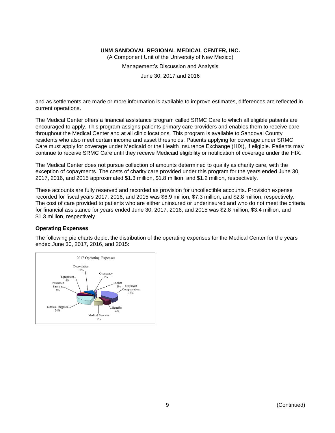(A Component Unit of the University of New Mexico)

Management's Discussion and Analysis

June 30, 2017 and 2016

and as settlements are made or more information is available to improve estimates, differences are reflected in current operations.

The Medical Center offers a financial assistance program called SRMC Care to which all eligible patients are encouraged to apply. This program assigns patients primary care providers and enables them to receive care throughout the Medical Center and at all clinic locations. This program is available to Sandoval County residents who also meet certain income and asset thresholds. Patients applying for coverage under SRMC Care must apply for coverage under Medicaid or the Health Insurance Exchange (HIX), if eligible. Patients may continue to receive SRMC Care until they receive Medicaid eligibility or notification of coverage under the HIX.

The Medical Center does not pursue collection of amounts determined to qualify as charity care, with the exception of copayments. The costs of charity care provided under this program for the years ended June 30, 2017, 2016, and 2015 approximated \$1.3 million, \$1.8 million, and \$1.2 million, respectively.

These accounts are fully reserved and recorded as provision for uncollectible accounts. Provision expense recorded for fiscal years 2017, 2016, and 2015 was \$6.9 million, \$7.3 million, and \$2.8 million, respectively. The cost of care provided to patients who are either uninsured or underinsured and who do not meet the criteria for financial assistance for years ended June 30, 2017, 2016, and 2015 was \$2.8 million, \$3.4 million, and \$1.3 million, respectively.

#### **Operating Expenses**

The following pie charts depict the distribution of the operating expenses for the Medical Center for the years ended June 30, 2017, 2016, and 2015:

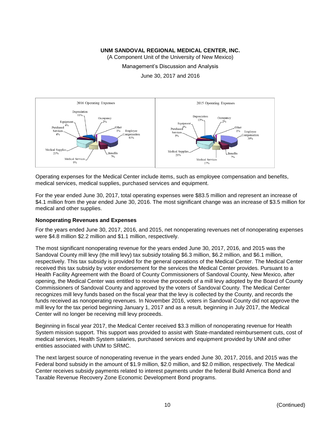(A Component Unit of the University of New Mexico)

Management's Discussion and Analysis

June 30, 2017 and 2016



Operating expenses for the Medical Center include items, such as employee compensation and benefits, medical services, medical supplies, purchased services and equipment.

For the year ended June 30, 2017, total operating expenses were \$83.5 million and represent an increase of \$4.1 million from the year ended June 30, 2016. The most significant change was an increase of \$3.5 million for medical and other supplies.

#### **Nonoperating Revenues and Expenses**

For the years ended June 30, 2017, 2016, and 2015, net nonoperating revenues net of nonoperating expenses were \$4.8 million \$2.2 million and \$1.1 million, respectively.

The most significant nonoperating revenue for the years ended June 30, 2017, 2016, and 2015 was the Sandoval County mill levy (the mill levy) tax subsidy totaling \$6.3 million, \$6.2 million, and \$6.1 million, respectively. This tax subsidy is provided for the general operations of the Medical Center. The Medical Center received this tax subsidy by voter endorsement for the services the Medical Center provides. Pursuant to a Health Facility Agreement with the Board of County Commissioners of Sandoval County, New Mexico, after opening, the Medical Center was entitled to receive the proceeds of a mill levy adopted by the Board of County Commissioners of Sandoval County and approved by the voters of Sandoval County. The Medical Center recognizes mill levy funds based on the fiscal year that the levy is collected by the County, and records the funds received as nonoperating revenues. In November 2016, voters in Sandoval County did not approve the mill levy for the tax period beginning January 1, 2017 and as a result, beginning in July 2017, the Medical Center will no longer be receiving mill levy proceeds.

Beginning in fiscal year 2017, the Medical Center received \$3.3 million of nonoperating revenue for Health System mission support. This support was provided to assist with State-mandated reimbursement cuts, cost of medical services, Health System salaries, purchased services and equipment provided by UNM and other entities associated with UNM to SRMC.

The next largest source of nonoperating revenue in the years ended June 30, 2017, 2016, and 2015 was the Federal bond subsidy in the amount of \$1.9 million, \$2.0 million, and \$2.0 million, respectively. The Medical Center receives subsidy payments related to interest payments under the federal Build America Bond and Taxable Revenue Recovery Zone Economic Development Bond programs.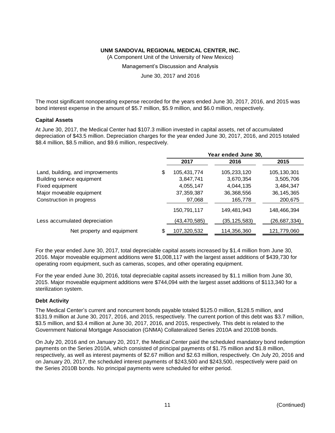(A Component Unit of the University of New Mexico)

Management's Discussion and Analysis

June 30, 2017 and 2016

The most significant nonoperating expense recorded for the years ended June 30, 2017, 2016, and 2015 was bond interest expense in the amount of \$5.7 million, \$5.9 million, and \$6.0 million, respectively.

#### **Capital Assets**

At June 30, 2017, the Medical Center had \$107.3 million invested in capital assets, net of accumulated depreciation of \$43.5 million. Depreciation charges for the year ended June 30, 2017, 2016, and 2015 totaled \$8.4 million, \$8.5 million, and \$9.6 million, respectively.

|                                  |    |              | Year ended June 30, |               |
|----------------------------------|----|--------------|---------------------|---------------|
|                                  |    | 2017         | 2016                | 2015          |
| Land, building, and improvements | \$ | 105,431,774  | 105,233,120         | 105, 130, 301 |
| Building service equipment       |    | 3,847,741    | 3,670,354           | 3,505,706     |
| Fixed equipment                  |    | 4,055,147    | 4,044,135           | 3,484,347     |
| Major moveable equipment         |    | 37,359,387   | 36,368,556          | 36, 145, 365  |
| Construction in progress         |    | 97,068       | 165,778             | 200,675       |
|                                  |    | 150,791,117  | 149,481,943         | 148,466,394   |
| Less accumulated depreciation    |    | (43,470,585) | (35, 125, 583)      | (26,687,334)  |
| Net property and equipment       | S  | 107,320,532  | 114,356,360         | 121,779,060   |

For the year ended June 30, 2017, total depreciable capital assets increased by \$1.4 million from June 30, 2016. Major moveable equipment additions were \$1,008,117 with the largest asset additions of \$439,730 for operating room equipment, such as cameras, scopes, and other operating equipment.

For the year ended June 30, 2016, total depreciable capital assets increased by \$1.1 million from June 30, 2015. Major moveable equipment additions were \$744,094 with the largest asset additions of \$113,340 for a sterilization system.

#### **Debt Activity**

The Medical Center's current and noncurrent bonds payable totaled \$125.0 million, \$128.5 million, and \$131.9 million at June 30, 2017, 2016, and 2015, respectively. The current portion of this debt was \$3.7 million, \$3.5 million, and \$3.4 million at June 30, 2017, 2016, and 2015, respectively. This debt is related to the Government National Mortgage Association (GNMA) Collateralized Series 2010A and 2010B bonds.

On July 20, 2016 and on January 20, 2017, the Medical Center paid the scheduled mandatory bond redemption payments on the Series 2010A, which consisted of principal payments of \$1.75 million and \$1.8 million, respectively, as well as interest payments of \$2.67 million and \$2.63 million, respectively. On July 20, 2016 and on January 20, 2017, the scheduled interest payments of \$243,500 and \$243,500, respectively were paid on the Series 2010B bonds. No principal payments were scheduled for either period.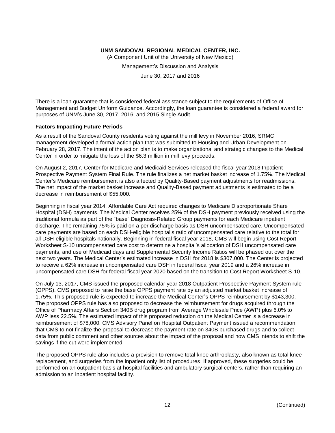(A Component Unit of the University of New Mexico)

Management's Discussion and Analysis June 30, 2017 and 2016

There is a loan guarantee that is considered federal assistance subject to the requirements of Office of Management and Budget Uniform Guidance. Accordingly, the loan guarantee is considered a federal award for purposes of UNM's June 30, 2017, 2016, and 2015 Single Audit.

#### **Factors Impacting Future Periods**

As a result of the Sandoval County residents voting against the mill levy in November 2016, SRMC management developed a formal action plan that was submitted to Housing and Urban Development on February 28, 2017. The intent of the action plan is to make organizational and strategic changes to the Medical Center in order to mitigate the loss of the \$6.3 million in mill levy proceeds.

On August 2, 2017, Center for Medicare and Medicaid Services released the fiscal year 2018 Inpatient Prospective Payment System Final Rule. The rule finalizes a net market basket increase of 1.75%. The Medical Center's Medicare reimbursement is also affected by Quality-Based payment adjustments for readmissions. The net impact of the market basket increase and Quality-Based payment adjustments is estimated to be a decrease in reimbursement of \$55,000.

Beginning in fiscal year 2014, Affordable Care Act required changes to Medicare Disproportionate Share Hospital (DSH) payments. The Medical Center receives 25% of the DSH payment previously received using the traditional formula as part of the "base" Diagnosis-Related Group payments for each Medicare inpatient discharge. The remaining 75% is paid on a per discharge basis as DSH uncompensated care. Uncompensated care payments are based on each DSH-eligible hospital's ratio of uncompensated care relative to the total for all DSH-eligible hospitals nationally. Beginning in federal fiscal year 2018, CMS will begin using Cost Report Worksheet S-10 uncompensated care cost to determine a hospital's allocation of DSH uncompensated care payments, and use of Medicaid days and Supplemental Security Income Ratios will be phased out over the next two years. The Medical Center's estimated increase in DSH for 2018 is \$307,000. The Center is projected to receive a 62% increase in uncompensated care DSH in federal fiscal year 2019 and a 26% increase in uncompensated care DSH for federal fiscal year 2020 based on the transition to Cost Report Worksheet S-10.

On July 13, 2017, CMS issued the proposed calendar year 2018 Outpatient Prospective Payment System rule (OPPS). CMS proposed to raise the base OPPS payment rate by an adjusted market basket increase of 1.75%. This proposed rule is expected to increase the Medical Center's OPPS reimbursement by \$143,300. The proposed OPPS rule has also proposed to decrease the reimbursement for drugs acquired through the Office of Pharmacy Affairs Section 340B drug program from Average Wholesale Price (AWP) plus 6.0% to AWP less 22.5%. The estimated impact of this proposed reduction on the Medical Center is a decrease in reimbursement of \$78,000. CMS Advisory Panel on Hospital Outpatient Payment issued a recommendation that CMS to not finalize the proposal to decrease the payment rate on 340B purchased drugs and to collect data from public comment and other sources about the impact of the proposal and how CMS intends to shift the savings if the cut were implemented.

The proposed OPPS rule also includes a provision to remove total knee arthroplasty, also known as total knee replacement, and surgeries from the inpatient only list of procedures. If approved, these surgeries could be performed on an outpatient basis at hospital facilities and ambulatory surgical centers, rather than requiring an admission to an inpatient hospital facility.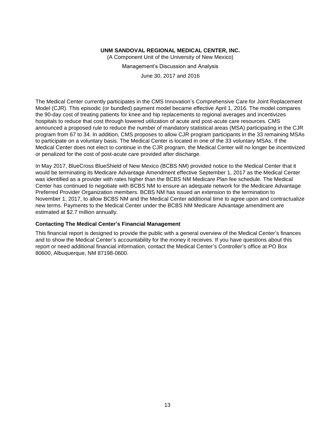(A Component Unit of the University of New Mexico)

Management's Discussion and Analysis June 30, 2017 and 2016

The Medical Center currently participates in the CMS Innovation's Comprehensive Care for Joint Replacement Model (CJR). This episodic (or bundled) payment model became effective April 1, 2016. The model compares the 90-day cost of treating patients for knee and hip replacements to regional averages and incentivizes hospitals to reduce that cost through lowered utilization of acute and post-acute care resources. CMS announced a proposed rule to reduce the number of mandatory statistical areas (MSA) participating in the CJR program from 67 to 34. In addition, CMS proposes to allow CJR program participants in the 33 remaining MSAs to participate on a voluntary basis. The Medical Center is located in one of the 33 voluntary MSAs. If the Medical Center does not elect to continue in the CJR program, the Medical Center will no longer be incentivized or penalized for the cost of post-acute care provided after discharge.

In May 2017, BlueCross BlueShield of New Mexico (BCBS NM) provided notice to the Medical Center that it would be terminating its Medicare Advantage Amendment effective September 1, 2017 as the Medical Center was identified as a provider with rates higher than the BCBS NM Medicare Plan fee schedule. The Medical Center has continued to negotiate with BCBS NM to ensure an adequate network for the Medicare Advantage Preferred Provider Organization members. BCBS NM has issued an extension to the termination to November 1, 2017, to allow BCBS NM and the Medical Center additional time to agree upon and contractualize new terms. Payments to the Medical Center under the BCBS NM Medicare Advantage amendment are estimated at \$2.7 million annually.

#### **Contacting The Medical Center's Financial Management**

This financial report is designed to provide the public with a general overview of the Medical Center's finances and to show the Medical Center's accountability for the money it receives. If you have questions about this report or need additional financial information, contact the Medical Center's Controller's office at PO Box 80600, Albuquerque, NM 87198-0600.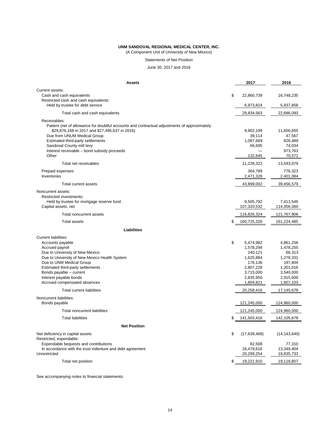(A Component Unit of University of New Mexico)

Statements of Net Position

June 30, 2017 and 2016

| <b>Assets</b>                                                                                                                                                                                                                                                                                                           |          | 2017                                                                                                          | 2016                                                                                                         |
|-------------------------------------------------------------------------------------------------------------------------------------------------------------------------------------------------------------------------------------------------------------------------------------------------------------------------|----------|---------------------------------------------------------------------------------------------------------------|--------------------------------------------------------------------------------------------------------------|
| Current assets:<br>Cash and cash equivalents<br>Restricted cash and cash equivalents:                                                                                                                                                                                                                                   | \$       | 22,860,739                                                                                                    | 16,748,235                                                                                                   |
| Held by trustee for debt service                                                                                                                                                                                                                                                                                        |          | 6,973,824                                                                                                     | 5,937,858                                                                                                    |
| Total cash and cash equivalents                                                                                                                                                                                                                                                                                         |          | 29,834,563                                                                                                    | 22,686,093                                                                                                   |
| Receivables:<br>Patient (net of allowance for doubtful accounts and contractual adjustments of approximately<br>\$29,876,168 in 2017 and \$27,495,637 in 2016)<br>Due from UNUM Medical Group<br>Estimated third-party settlements<br>Sandoval County mill levy<br>Interest receivable - bond subsidy proceeds<br>Other |          | 9,902,199<br>39,114<br>1,087,669<br>66,695<br>132,645                                                         | 11,600,655<br>47,567<br>826,489<br>74,034<br>973,763<br>70,571                                               |
| Total net receivables                                                                                                                                                                                                                                                                                                   |          | 11,228,322                                                                                                    | 13,593,079                                                                                                   |
| Prepaid expenses<br>Inventories                                                                                                                                                                                                                                                                                         |          | 364,789<br>2,471,328                                                                                          | 776,323<br>2,401,084                                                                                         |
| Total current assets                                                                                                                                                                                                                                                                                                    |          | 43,899,002                                                                                                    | 39,456,579                                                                                                   |
| Noncurrent assets:<br>Restricted investments:<br>Held by trustee for mortgage reserve fund<br>Capital assets, net                                                                                                                                                                                                       |          | 9,505,792<br>107,320,532                                                                                      | 7,411,546<br>114,356,360                                                                                     |
| Total noncurrent assets                                                                                                                                                                                                                                                                                                 |          | 116,826,324                                                                                                   | 121,767,906                                                                                                  |
| Total assets                                                                                                                                                                                                                                                                                                            | \$       | 160,725,326                                                                                                   | 161,224,485                                                                                                  |
| <b>Liabilities</b>                                                                                                                                                                                                                                                                                                      |          |                                                                                                               |                                                                                                              |
| <b>Current liabilities:</b><br>Accounts payable<br>Accrued payroll<br>Due to University of New Mexico<br>Due to University of New Mexico Health System<br>Due to UNM Medical Group<br>Estimated third-party settlements<br>Bonds payable - current<br>Interest payable bonds<br>Accrued compensated absences            | \$       | 5,474,982<br>1,578,294<br>240,121<br>1,625,884<br>176,136<br>2,807,228<br>3,715,000<br>2,835,950<br>1,804,821 | 4,861,256<br>1,478,255<br>66,313<br>1,278,331<br>197,804<br>1,201,016<br>3,540,000<br>2,915,600<br>1,607,103 |
| <b>Total current liabilities</b>                                                                                                                                                                                                                                                                                        |          | 20,258,416                                                                                                    | 17,145,678                                                                                                   |
| Noncurrent liabilities:<br>Bonds payable                                                                                                                                                                                                                                                                                |          | 121,245,000                                                                                                   | 124,960,000                                                                                                  |
| <b>Total noncurrent liabilities</b>                                                                                                                                                                                                                                                                                     |          | 121,245,000                                                                                                   | 124,960,000                                                                                                  |
| <b>Total liabilities</b>                                                                                                                                                                                                                                                                                                | \$       | 141,503,416                                                                                                   | 142,105,678                                                                                                  |
| <b>Net Position</b>                                                                                                                                                                                                                                                                                                     |          |                                                                                                               |                                                                                                              |
| Net deficiency in capital assets<br>Restricted, expendable:<br>Expendable bequests and contributions<br>In accordance with the trust indenture and debt agreement<br>Unrestricted<br>Total net position                                                                                                                 | \$<br>\$ | (17,639,468)<br>82,508<br>16,479,616<br>20,299,254<br>19,221,910                                              | (14, 143, 640)<br>77,310<br>13,349,404<br>19,835,733<br>19,118,807                                           |
|                                                                                                                                                                                                                                                                                                                         |          |                                                                                                               |                                                                                                              |

See accompanying notes to financial statements.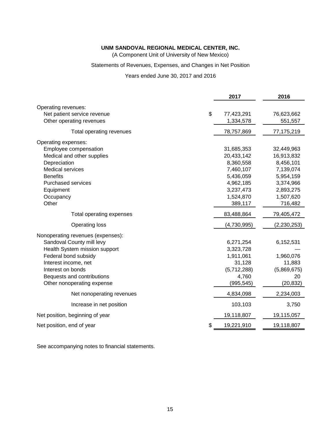(A Component Unit of University of New Mexico)

#### Statements of Revenues, Expenses, and Changes in Net Position

Years ended June 30, 2017 and 2016

|                                   | 2017        | 2016        |
|-----------------------------------|-------------|-------------|
| Operating revenues:               |             |             |
| \$<br>Net patient service revenue | 77,423,291  | 76,623,662  |
| Other operating revenues          | 1,334,578   | 551,557     |
| Total operating revenues          | 78,757,869  | 77,175,219  |
| Operating expenses:               |             |             |
| Employee compensation             | 31,685,353  | 32,449,963  |
| Medical and other supplies        | 20,433,142  | 16,913,832  |
| Depreciation                      | 8,360,558   | 8,456,101   |
| <b>Medical services</b>           | 7,460,107   | 7,139,074   |
| <b>Benefits</b>                   | 5,436,059   | 5,954,159   |
| <b>Purchased services</b>         | 4,962,185   | 3,374,966   |
| Equipment                         | 3,237,473   | 2,893,275   |
| Occupancy                         | 1,524,870   | 1,507,620   |
| Other                             | 389,117     | 716,482     |
| Total operating expenses          | 83,488,864  | 79,405,472  |
| <b>Operating loss</b>             | (4,730,995) | (2,230,253) |
| Nonoperating revenues (expenses): |             |             |
| Sandoval County mill levy         | 6,271,254   | 6,152,531   |
| Health System mission support     | 3,323,728   |             |
| Federal bond subsidy              | 1,911,061   | 1,960,076   |
| Interest income, net              | 31,128      | 11,883      |
| Interest on bonds                 | (5,712,288) | (5,869,675) |
| Bequests and contributions        | 4,760       | 20          |
| Other nonoperating expense        | (995, 545)  | (20, 832)   |
| Net nonoperating revenues         | 4,834,098   | 2,234,003   |
| Increase in net position          | 103,103     | 3,750       |
| Net position, beginning of year   | 19,118,807  | 19,115,057  |
| \$<br>Net position, end of year   | 19,221,910  | 19,118,807  |

See accompanying notes to financial statements.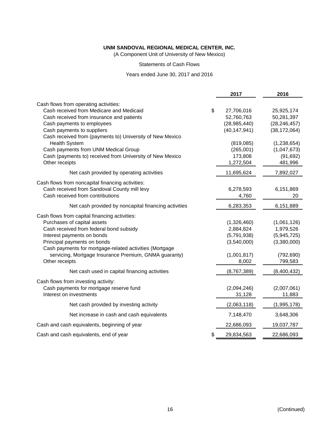(A Component Unit of University of New Mexico)

#### Statements of Cash Flows

#### Years ended June 30, 2017 and 2016

|                                                           | 2017             | 2016           |
|-----------------------------------------------------------|------------------|----------------|
| Cash flows from operating activities:                     |                  |                |
| Cash received from Medicare and Medicaid                  | \$<br>27,706,016 | 25,925,174     |
| Cash received from insurance and patients                 | 52,760,763       | 50,281,397     |
| Cash payments to employees                                | (28, 985, 440)   | (28, 246, 457) |
| Cash payments to suppliers                                | (40, 147, 941)   | (38, 172, 064) |
| Cash received from (payments to) University of New Mexico |                  |                |
| <b>Health System</b>                                      | (819, 085)       | (1, 238, 654)  |
| Cash payments from UNM Medical Group                      | (265,001)        | (1,047,673)    |
| Cash (payments to) received from University of New Mexico | 173,808          | (91, 692)      |
| Other receipts                                            | 1,272,504        | 481,996        |
| Net cash provided by operating activities                 | 11,695,624       | 7,892,027      |
| Cash flows from noncapital financing activities:          |                  |                |
| Cash received from Sandoval County mill levy              | 6,278,593        | 6,151,869      |
| Cash received from contributions                          | 4,760            | 20             |
| Net cash provided by noncapital financing activities      | 6,283,353        | 6,151,889      |
| Cash flows from capital financing activities:             |                  |                |
| Purchases of capital assets                               | (1,326,460)      | (1,061,126)    |
| Cash received from federal bond subsidy                   | 2,884,824        | 1,979,526      |
| Interest payments on bonds                                | (5,791,938)      | (5,945,725)    |
| Principal payments on bonds                               | (3,540,000)      | (3,380,000)    |
| Cash payments for mortgage-related activities (Mortgage   |                  |                |
| servicing, Mortgage Insurance Premium, GNMA guaranty)     | (1,001,817)      | (792, 690)     |
| Other receipts                                            | 8,002            | 799,583        |
| Net cash used in capital financing activities             | (8,767,389)      | (8,400,432)    |
| Cash flows from investing activity:                       |                  |                |
| Cash payments for mortgage reserve fund                   | (2,094,246)      | (2,007,061)    |
| Interest on investments                                   | 31,128           | 11,883         |
| Net cash provided by investing activity                   | (2,063,118)      | (1,995,178)    |
| Net increase in cash and cash equivalents                 | 7,148,470        | 3,648,306      |
| Cash and cash equivalents, beginning of year              | 22,686,093       | 19,037,787     |
| Cash and cash equivalents, end of year                    | \$<br>29,834,563 | 22,686,093     |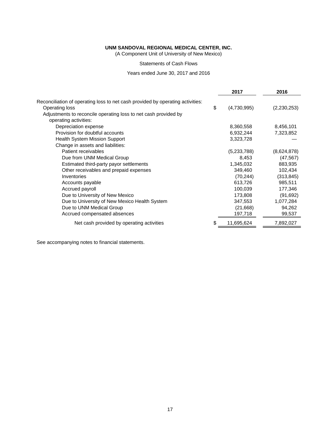(A Component Unit of University of New Mexico)

Statements of Cash Flows

Years ended June 30, 2017 and 2016

|                                                                                                  | 2017              | 2016        |
|--------------------------------------------------------------------------------------------------|-------------------|-------------|
| Reconciliation of operating loss to net cash provided by operating activities:<br>Operating loss | \$<br>(4,730,995) | (2,230,253) |
| Adjustments to reconcile operating loss to net cash provided by<br>operating activities:         |                   |             |
| Depreciation expense                                                                             | 8,360,558         | 8,456,101   |
| Provision for doubtful accounts                                                                  | 6,932,244         | 7,323,852   |
| <b>Health System Mission Support</b>                                                             | 3,323,728         |             |
| Change in assets and liabilities:                                                                |                   |             |
| Patient receivables                                                                              | (5,233,788)       | (8,624,878) |
| Due from UNM Medical Group                                                                       | 8,453             | (47, 567)   |
| Estimated third-party payor settlements                                                          | 1,345,032         | 883,935     |
| Other receivables and prepaid expenses                                                           | 349,460           | 102,434     |
| Inventories                                                                                      | (70, 244)         | (313, 845)  |
| Accounts payable                                                                                 | 613,726           | 985,511     |
| Accrued payroll                                                                                  | 100,039           | 177,346     |
| Due to University of New Mexico                                                                  | 173,808           | (91, 692)   |
| Due to University of New Mexico Health System                                                    | 347,553           | 1,077,284   |
| Due to UNM Medical Group                                                                         | (21,668)          | 94,262      |
| Accrued compensated absences                                                                     | 197,718           | 99,537      |
| Net cash provided by operating activities                                                        | \$<br>11,695,624  | 7,892,027   |
|                                                                                                  |                   |             |

See accompanying notes to financial statements.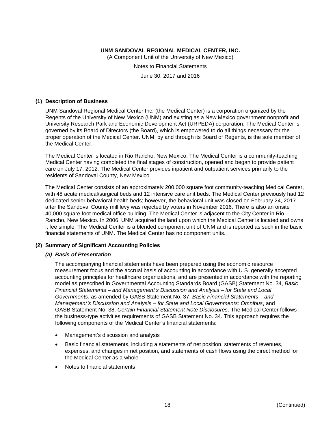(A Component Unit of the University of New Mexico)

Notes to Financial Statements June 30, 2017 and 2016

#### **(1) Description of Business**

UNM Sandoval Regional Medical Center Inc. (the Medical Center) is a corporation organized by the Regents of the University of New Mexico (UNM) and existing as a New Mexico government nonprofit and University Research Park and Economic Development Act (URPEDA) corporation. The Medical Center is governed by its Board of Directors (the Board), which is empowered to do all things necessary for the proper operation of the Medical Center. UNM, by and through its Board of Regents, is the sole member of the Medical Center.

The Medical Center is located in Rio Rancho, New Mexico. The Medical Center is a community-teaching Medical Center having completed the final stages of construction, opened and began to provide patient care on July 17, 2012. The Medical Center provides inpatient and outpatient services primarily to the residents of Sandoval County, New Mexico.

The Medical Center consists of an approximately 200,000 square foot community-teaching Medical Center, with 48 acute medical/surgical beds and 12 intensive care unit beds. The Medical Center previously had 12 dedicated senior behavioral health beds; however, the behavioral unit was closed on February 24, 2017 after the Sandoval County mill levy was rejected by voters in November 2016. There is also an onsite 40,000 square foot medical office building. The Medical Center is adjacent to the City Center in Rio Rancho, New Mexico. In 2006, UNM acquired the land upon which the Medical Center is located and owns it fee simple. The Medical Center is a blended component unit of UNM and is reported as such in the basic financial statements of UNM. The Medical Center has no component units.

#### **(2) Summary of Significant Accounting Policies**

#### *(a) Basis of Presentation*

The accompanying financial statements have been prepared using the economic resource measurement focus and the accrual basis of accounting in accordance with U.S. generally accepted accounting principles for healthcare organizations, and are presented in accordance with the reporting model as prescribed in Governmental Accounting Standards Board (GASB) Statement No. 34, *Basic Financial Statements – and Management's Discussion and Analysis – for State and Local Governments*, as amended by GASB Statement No. 37, *Basic Financial Statements – and Management's Discussion and Analysis – for State and Local Governments: Omnibus*, and GASB Statement No. 38, *Certain Financial Statement Note Disclosures*. The Medical Center follows the business-type activities requirements of GASB Statement No. 34. This approach requires the following components of the Medical Center's financial statements:

- Management's discussion and analysis
- Basic financial statements, including a statements of net position, statements of revenues, expenses, and changes in net position, and statements of cash flows using the direct method for the Medical Center as a whole
- Notes to financial statements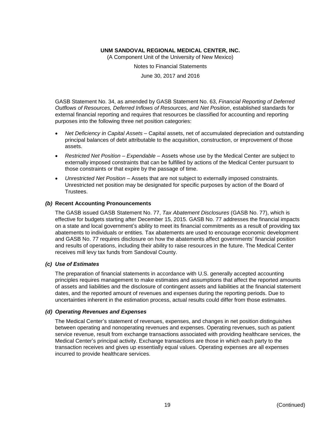(A Component Unit of the University of New Mexico)

Notes to Financial Statements June 30, 2017 and 2016

GASB Statement No. 34, as amended by GASB Statement No. 63, *Financial Reporting of Deferred Outflows of Resources, Deferred Inflows of Resources, and Net Position*, established standards for external financial reporting and requires that resources be classified for accounting and reporting purposes into the following three net position categories:

- *Net Deficiency in Capital Assets* Capital assets, net of accumulated depreciation and outstanding principal balances of debt attributable to the acquisition, construction, or improvement of those assets.
- *Restricted Net Position – Expendable* Assets whose use by the Medical Center are subject to externally imposed constraints that can be fulfilled by actions of the Medical Center pursuant to those constraints or that expire by the passage of time.
- *Unrestricted Net Position* Assets that are not subject to externally imposed constraints. Unrestricted net position may be designated for specific purposes by action of the Board of Trustees.

#### *(b)* **Recent Accounting Pronouncements**

The GASB issued GASB Statement No. 77, *Tax Abatement Disclosures* (GASB No. 77), which is effective for budgets starting after December 15, 2015. GASB No. 77 addresses the financial impacts on a state and local government's ability to meet its financial commitments as a result of providing tax abatements to individuals or entities. Tax abatements are used to encourage economic development and GASB No. 77 requires disclosure on how the abatements affect governments' financial position and results of operations, including their ability to raise resources in the future. The Medical Center receives mill levy tax funds from Sandoval County.

#### *(c) Use of Estimates*

The preparation of financial statements in accordance with U.S. generally accepted accounting principles requires management to make estimates and assumptions that affect the reported amounts of assets and liabilities and the disclosure of contingent assets and liabilities at the financial statement dates, and the reported amount of revenues and expenses during the reporting periods. Due to uncertainties inherent in the estimation process, actual results could differ from those estimates.

#### *(d) Operating Revenues and Expenses*

The Medical Center's statement of revenues, expenses, and changes in net position distinguishes between operating and nonoperating revenues and expenses. Operating revenues, such as patient service revenue, result from exchange transactions associated with providing healthcare services, the Medical Center's principal activity. Exchange transactions are those in which each party to the transaction receives and gives up essentially equal values. Operating expenses are all expenses incurred to provide healthcare services.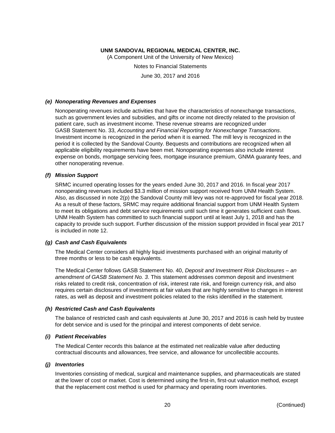(A Component Unit of the University of New Mexico)

Notes to Financial Statements June 30, 2017 and 2016

#### *(e) Nonoperating Revenues and Expenses*

Nonoperating revenues include activities that have the characteristics of nonexchange transactions, such as government levies and subsidies, and gifts or income not directly related to the provision of patient care, such as investment income. These revenue streams are recognized under GASB Statement No. 33, *Accounting and Financial Reporting for Nonexchange Transactions*. Investment income is recognized in the period when it is earned. The mill levy is recognized in the period it is collected by the Sandoval County. Bequests and contributions are recognized when all applicable eligibility requirements have been met. Nonoperating expenses also include interest expense on bonds, mortgage servicing fees, mortgage insurance premium, GNMA guaranty fees, and other nonoperating revenue.

#### *(f) Mission Support*

SRMC incurred operating losses for the years ended June 30, 2017 and 2016. In fiscal year 2017 nonoperating revenues included \$3.3 million of mission support received from UNM Health System. Also, as discussed in note 2(p) the Sandoval County mill levy was not re-approved for fiscal year 2018. As a result of these factors, SRMC may require additional financial support from UNM Health System to meet its obligations and debt service requirements until such time it generates sufficient cash flows. UNM Health System has committed to such financial support until at least July 1, 2018 and has the capacity to provide such support. Further discussion of the mission support provided in fiscal year 2017 is included in note 12.

#### *(g) Cash and Cash Equivalents*

The Medical Center considers all highly liquid investments purchased with an original maturity of three months or less to be cash equivalents.

The Medical Center follows GASB Statement No. 40, *Deposit and Investment Risk Disclosures – an amendment of GASB Statement No. 3*. This statement addresses common deposit and investment risks related to credit risk, concentration of risk, interest rate risk, and foreign currency risk, and also requires certain disclosures of investments at fair values that are highly sensitive to changes in interest rates, as well as deposit and investment policies related to the risks identified in the statement.

#### *(h) Restricted Cash and Cash Equivalents*

The balance of restricted cash and cash equivalents at June 30, 2017 and 2016 is cash held by trustee for debt service and is used for the principal and interest components of debt service.

#### *(i) Patient Receivables*

The Medical Center records this balance at the estimated net realizable value after deducting contractual discounts and allowances, free service, and allowance for uncollectible accounts.

#### *(j) Inventories*

Inventories consisting of medical, surgical and maintenance supplies, and pharmaceuticals are stated at the lower of cost or market. Cost is determined using the first-in, first-out valuation method, except that the replacement cost method is used for pharmacy and operating room inventories.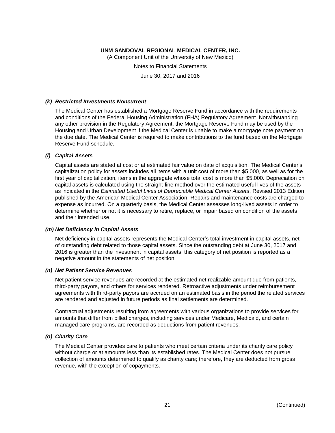(A Component Unit of the University of New Mexico)

Notes to Financial Statements June 30, 2017 and 2016

#### *(k) Restricted Investments Noncurrent*

The Medical Center has established a Mortgage Reserve Fund in accordance with the requirements and conditions of the Federal Housing Administration (FHA) Regulatory Agreement. Notwithstanding any other provision in the Regulatory Agreement, the Mortgage Reserve Fund may be used by the Housing and Urban Development if the Medical Center is unable to make a mortgage note payment on the due date. The Medical Center is required to make contributions to the fund based on the Mortgage Reserve Fund schedule.

#### *(l) Capital Assets*

Capital assets are stated at cost or at estimated fair value on date of acquisition. The Medical Center's capitalization policy for assets includes all items with a unit cost of more than \$5,000, as well as for the first year of capitalization, items in the aggregate whose total cost is more than \$5,000. Depreciation on capital assets is calculated using the straight-line method over the estimated useful lives of the assets as indicated in the *Estimated Useful Lives of Depreciable Medical Center Assets*, Revised 2013 Edition published by the American Medical Center Association. Repairs and maintenance costs are charged to expense as incurred. On a quarterly basis, the Medical Center assesses long-lived assets in order to determine whether or not it is necessary to retire, replace, or impair based on condition of the assets and their intended use.

#### *(m) Net Deficiency in Capital Assets*

Net deficiency in capital assets represents the Medical Center's total investment in capital assets, net of outstanding debt related to those capital assets. Since the outstanding debt at June 30, 2017 and 2016 is greater than the investment in capital assets, this category of net position is reported as a negative amount in the statements of net position.

#### *(n) Net Patient Service Revenues*

Net patient service revenues are recorded at the estimated net realizable amount due from patients, third-party payors, and others for services rendered. Retroactive adjustments under reimbursement agreements with third-party payors are accrued on an estimated basis in the period the related services are rendered and adjusted in future periods as final settlements are determined.

Contractual adjustments resulting from agreements with various organizations to provide services for amounts that differ from billed charges, including services under Medicare, Medicaid, and certain managed care programs, are recorded as deductions from patient revenues.

#### *(o) Charity Care*

The Medical Center provides care to patients who meet certain criteria under its charity care policy without charge or at amounts less than its established rates. The Medical Center does not pursue collection of amounts determined to qualify as charity care; therefore, they are deducted from gross revenue, with the exception of copayments.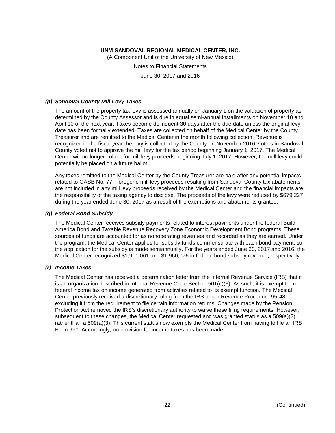(A Component Unit of the University of New Mexico)

Notes to Financial Statements June 30, 2017 and 2016

#### *(p) Sandoval County Mill Levy Taxes*

The amount of the property tax levy is assessed annually on January 1 on the valuation of property as determined by the County Assessor and is due in equal semi-annual installments on November 10 and April 10 of the next year. Taxes become delinquent 30 days after the due date unless the original levy date has been formally extended. Taxes are collected on behalf of the Medical Center by the County Treasurer and are remitted to the Medical Center in the month following collection. Revenue is recognized in the fiscal year the levy is collected by the County. In November 2016, voters in Sandoval County voted not to approve the mill levy for the tax period beginning January 1, 2017. The Medical Center will no longer collect for mill levy proceeds beginning July 1, 2017. However, the mill levy could potentially be placed on a future ballot.

Any taxes remitted to the Medical Center by the County Treasurer are paid after any potential impacts related to GASB No. 77. Foregone mill levy proceeds resulting from Sandoval County tax abatements are not included in any mill levy proceeds received by the Medical Center and the financial impacts are the responsibility of the taxing agency to disclose. The proceeds of the levy were reduced by \$679,227 during the year ended June 30, 2017 as a result of the exemptions and abatements granted.

#### *(q) Federal Bond Subsidy*

The Medical Center receives subsidy payments related to interest payments under the federal Build America Bond and Taxable Revenue Recovery Zone Economic Development Bond programs. These sources of funds are accounted for as nonoperating revenues and recorded as they are earned. Under the program, the Medical Center applies for subsidy funds commensurate with each bond payment, so the application for the subsidy is made semiannually. For the years ended June 30, 2017 and 2016, the Medical Center recognized \$1,911,061 and \$1,960,076 in federal bond subsidy revenue, respectively.

#### *(r) Income Taxes*

The Medical Center has received a determination letter from the Internal Revenue Service (IRS) that it is an organization described in Internal Revenue Code Section 501(c)(3). As such, it is exempt from federal income tax on income generated from activities related to its exempt function. The Medical Center previously received a discretionary ruling from the IRS under Revenue Procedure 95-48, excluding it from the requirement to file certain information returns. Changes made by the Pension Protection Act removed the IRS's discretionary authority to waive these filing requirements. However, subsequent to these changes, the Medical Center requested and was granted status as a 509(a)(2) rather than a 509(a)(3). This current status now exempts the Medical Center from having to file an IRS Form 990. Accordingly, no provision for income taxes has been made.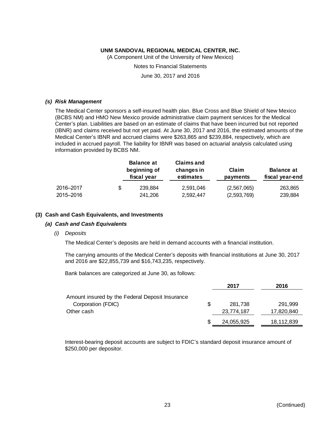(A Component Unit of the University of New Mexico)

Notes to Financial Statements

June 30, 2017 and 2016

#### *(s) Risk Management*

The Medical Center sponsors a self-insured health plan. Blue Cross and Blue Shield of New Mexico (BCBS NM) and HMO New Mexico provide administrative claim payment services for the Medical Center's plan. Liabilities are based on an estimate of claims that have been incurred but not reported (IBNR) and claims received but not yet paid. At June 30, 2017 and 2016, the estimated amounts of the Medical Center's IBNR and accrued claims were \$263,865 and \$239,884, respectively, which are included in accrued payroll. The liability for IBNR was based on actuarial analysis calculated using information provided by BCBS NM.

|           |    | <b>Balance at</b><br>beginning of<br>fiscal year | <b>Claims and</b><br>Claim<br>changes in<br>estimates<br>payments |               | <b>Balance at</b><br>fiscal year-end |  |
|-----------|----|--------------------------------------------------|-------------------------------------------------------------------|---------------|--------------------------------------|--|
| 2016-2017 | \$ | 239.884                                          | 2.591.046                                                         | (2, 567, 065) | 263,865                              |  |
| 2015-2016 |    | 241,206                                          | 2,592,447                                                         | (2,593,769)   | 239,884                              |  |

#### **(3) Cash and Cash Equivalents, and Investments**

#### *(a) Cash and Cash Equivalents*

*(i) Deposits*

The Medical Center's deposits are held in demand accounts with a financial institution.

The carrying amounts of the Medical Center's deposits with financial institutions at June 30, 2017 and 2016 are \$22,855,739 and \$16,743,235, respectively.

Bank balances are categorized at June 30, as follows:

|                                                 | 2017       | 2016       |
|-------------------------------------------------|------------|------------|
| Amount insured by the Federal Deposit Insurance |            |            |
| Corporation (FDIC)                              | 281.738    | 291,999    |
| Other cash                                      | 23,774,187 | 17,820,840 |
|                                                 | 24,055,925 | 18,112,839 |

Interest-bearing deposit accounts are subject to FDIC's standard deposit insurance amount of \$250,000 per depositor.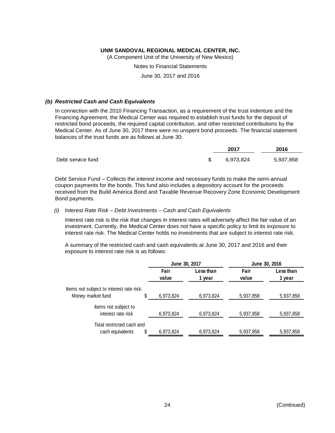(A Component Unit of the University of New Mexico)

Notes to Financial Statements

June 30, 2017 and 2016

#### *(b) Restricted Cash and Cash Equivalents*

In connection with the 2010 Financing Transaction, as a requirement of the trust indenture and the Financing Agreement, the Medical Center was required to establish trust funds for the deposit of restricted bond proceeds, the required capital contribution, and other restricted contributions by the Medical Center. As of June 30, 2017 there were no unspent bond proceeds. The financial statement balances of the trust funds are as follows at June 30:

|                   | 2017      | 2016      |  |
|-------------------|-----------|-----------|--|
| Debt service fund | 6,973,824 | 5,937,858 |  |

Debt Service Fund – Collects the interest income and necessary funds to make the semi-annual coupon payments for the bonds. This fund also includes a depository account for the proceeds received from the Build America Bond and Taxable Revenue Recovery Zone Economic Development Bond payments.

#### *(i) Interest Rate Risk – Debt Investments – Cash and Cash Equivalents*

Interest rate risk is the risk that changes in interest rates will adversely affect the fair value of an investment. Currently, the Medical Center does not have a specific policy to limit its exposure to interest rate risk. The Medical Center holds no investments that are subject to interest rate risk.

A summary of the restricted cash and cash equivalents at June 30, 2017 and 2016 and their exposure to interest rate risk is as follows:

|                                          | June 30, 2017 |                     | June 30, 2016 |                     |
|------------------------------------------|---------------|---------------------|---------------|---------------------|
|                                          | Fair<br>value | Less than<br>1 year | Fair<br>value | Less than<br>1 year |
| Items not subject to interest rate risk: |               |                     |               |                     |
| \$<br>Money market fund                  | 6,973,824     | 6,973,824           | 5,937,858     | 5,937,858           |
| Items not subject to                     |               |                     |               |                     |
| interest rate risk                       | 6,973,824     | 6,973,824           | 5,937,858     | 5,937,858           |
| Total restricted cash and                |               |                     |               |                     |
| S<br>cash equivalents                    | 6,973,824     | 6,973,824           | 5,937,858     | 5,937,858           |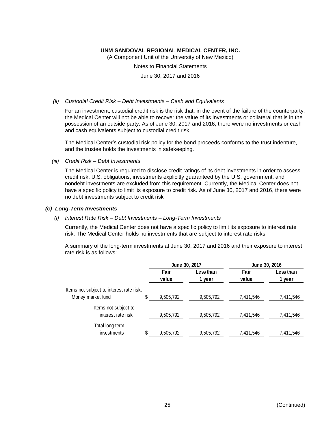(A Component Unit of the University of New Mexico)

Notes to Financial Statements

June 30, 2017 and 2016

#### *(ii) Custodial Credit Risk – Debt Investments – Cash and Equivalents*

For an investment, custodial credit risk is the risk that, in the event of the failure of the counterparty, the Medical Center will not be able to recover the value of its investments or collateral that is in the possession of an outside party. As of June 30, 2017 and 2016, there were no investments or cash and cash equivalents subject to custodial credit risk.

The Medical Center's custodial risk policy for the bond proceeds conforms to the trust indenture, and the trustee holds the investments in safekeeping.

*(iii) Credit Risk – Debt Investments*

The Medical Center is required to disclose credit ratings of its debt investments in order to assess credit risk. U.S. obligations, investments explicitly guaranteed by the U.S. government, and nondebt investments are excluded from this requirement. Currently, the Medical Center does not have a specific policy to limit its exposure to credit risk. As of June 30, 2017 and 2016, there were no debt investments subject to credit risk

#### *(c) Long-Term Investments*

#### *(i) Interest Rate Risk – Debt Investments – Long-Term Investments*

Currently, the Medical Center does not have a specific policy to limit its exposure to interest rate risk. The Medical Center holds no investments that are subject to interest rate risks.

A summary of the long-term investments at June 30, 2017 and 2016 and their exposure to interest rate risk is as follows:

|                                            | June 30, 2017   |                     | June 30, 2016 |                     |
|--------------------------------------------|-----------------|---------------------|---------------|---------------------|
|                                            | Fair<br>value   | Less than<br>1 year | Fair<br>value | Less than<br>1 year |
| Items not subject to interest rate risk:   |                 |                     |               |                     |
| Money market fund                          | 9,505,792       | 9,505,792           | 7,411,546     | 7,411,546           |
| Items not subject to<br>interest rate risk | 9,505,792       | 9,505,792           | 7,411,546     | 7,411,546           |
| Total long-term<br>investments             | \$<br>9,505,792 | 9,505,792           | 7,411,546     | 7,411,546           |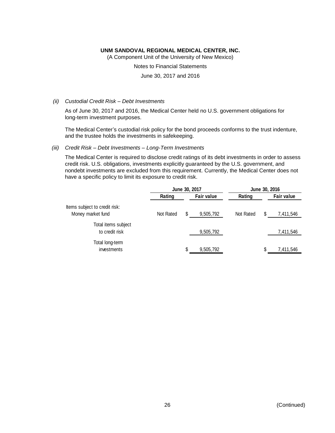(A Component Unit of the University of New Mexico)

Notes to Financial Statements

June 30, 2017 and 2016

#### *(ii) Custodial Credit Risk – Debt Investments*

As of June 30, 2017 and 2016, the Medical Center held no U.S. government obligations for long-term investment purposes.

The Medical Center's custodial risk policy for the bond proceeds conforms to the trust indenture, and the trustee holds the investments in safekeeping.

#### *(iii) Credit Risk – Debt Investments – Long-Term Investments*

The Medical Center is required to disclose credit ratings of its debt investments in order to assess credit risk. U.S. obligations, investments explicitly guaranteed by the U.S. government, and nondebt investments are excluded from this requirement. Currently, the Medical Center does not have a specific policy to limit its exposure to credit risk.

|                               | June 30, 2017 |    |                   | June 30, 2016 |   |                   |
|-------------------------------|---------------|----|-------------------|---------------|---|-------------------|
|                               | Rating        |    | <b>Fair value</b> | Rating        |   | <b>Fair value</b> |
| Items subject to credit risk: |               |    |                   |               |   |                   |
| Money market fund             | Not Rated     | \$ | 9,505,792         | Not Rated     | S | 7,411,546         |
| Total items subject           |               |    |                   |               |   |                   |
| to credit risk                |               |    | 9,505,792         |               |   | 7,411,546         |
| Total long-term               |               |    |                   |               |   |                   |
| investments                   |               | \$ | 9,505,792         |               |   | 7,411,546         |
|                               |               |    |                   |               |   |                   |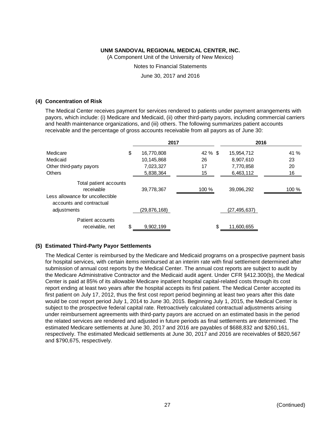(A Component Unit of the University of New Mexico)

Notes to Financial Statements

June 30, 2017 and 2016

#### **(4) Concentration of Risk**

The Medical Center receives payment for services rendered to patients under payment arrangements with payors, which include: (i) Medicare and Medicaid, (ii) other third-party payors, including commercial carriers and health maintenance organizations, and (iii) others. The following summarizes patient accounts receivable and the percentage of gross accounts receivable from all payors as of June 30:

|                                                                          |                  | 2017    |                | 2016  |
|--------------------------------------------------------------------------|------------------|---------|----------------|-------|
| Medicare                                                                 | \$<br>16,770,808 | 42 % \$ | 15,954,712     | 41 %  |
| Medicaid                                                                 | 10.145.868       | 26      | 8.907.610      | 23    |
| Other third-party payors                                                 | 7,023,327        | 17      | 7,770,858      | 20    |
| <b>Others</b>                                                            | 5,838,364        | 15      | 6,463,112      | 16    |
| Total patient accounts<br>receivable<br>Less allowance for uncollectible | 39,778,367       | 100 %   | 39,096,292     | 100 % |
| accounts and contractual<br>adjustments                                  | (29,876,168)     |         | (27, 495, 637) |       |
| Patient accounts<br>receivable, net                                      | \$<br>9,902,199  | \$      | 11,600,655     |       |

#### **(5) Estimated Third-Party Payor Settlements**

The Medical Center is reimbursed by the Medicare and Medicaid programs on a prospective payment basis for hospital services, with certain items reimbursed at an interim rate with final settlement determined after submission of annual cost reports by the Medical Center. The annual cost reports are subject to audit by the Medicare Administrative Contractor and the Medicaid audit agent. Under CFR §412.300(b), the Medical Center is paid at 85% of its allowable Medicare inpatient hospital capital-related costs through its cost report ending at least two years after the hospital accepts its first patient. The Medical Center accepted its first patient on July 17, 2012, thus the first cost report period beginning at least two years after this date would be cost report period July 1, 2014 to June 30, 2015. Beginning July 1, 2015, the Medical Center is subject to the prospective federal capital rate. Retroactively calculated contractual adjustments arising under reimbursement agreements with third-party payors are accrued on an estimated basis in the period the related services are rendered and adjusted in future periods as final settlements are determined. The estimated Medicare settlements at June 30, 2017 and 2016 are payables of \$688,832 and \$260,161, respectively. The estimated Medicaid settlements at June 30, 2017 and 2016 are receivables of \$820,567 and \$790,675, respectively.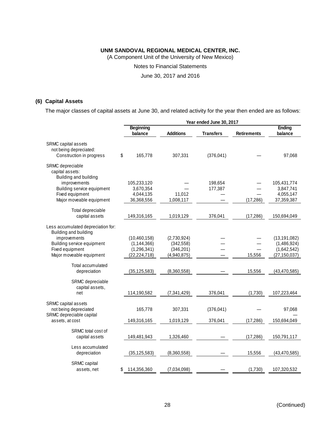(A Component Unit of the University of New Mexico)

Notes to Financial Statements

June 30, 2017 and 2016

#### **(6) Capital Assets**

The major classes of capital assets at June 30, and related activity for the year then ended are as follows:

|                                                                              | Year ended June 30, 2017    |                  |                  |                    |                          |  |
|------------------------------------------------------------------------------|-----------------------------|------------------|------------------|--------------------|--------------------------|--|
|                                                                              | <b>Beginning</b><br>balance | <b>Additions</b> | <b>Transfers</b> | <b>Retirements</b> | <b>Ending</b><br>balance |  |
| SRMC capital assets<br>not being depreciated:<br>Construction in progress    | \$<br>165,778               | 307,331          | (376, 041)       |                    | 97,068                   |  |
| SRMC depreciable<br>capital assets:<br>Building and building<br>improvements | 105,233,120                 |                  | 198,654          |                    | 105,431,774              |  |
|                                                                              |                             |                  |                  |                    |                          |  |
| Building service equipment                                                   | 3,670,354                   |                  | 177,387          |                    | 3,847,741                |  |
| Fixed equipment                                                              | 4,044,135                   | 11,012           |                  |                    | 4,055,147                |  |
| Major moveable equipment                                                     | 36,368,556                  | 1,008,117        |                  | (17, 286)          | 37,359,387               |  |
| Total depreciable<br>capital assets                                          | 149,316,165                 | 1,019,129        | 376,041          | (17, 286)          | 150,694,049              |  |
| Less accumulated depreciation for:<br>Building and building                  |                             |                  |                  |                    |                          |  |
| improvements                                                                 | (10, 460, 158)              | (2,730,924)      |                  |                    | (13, 191, 082)           |  |
| Building service equipment                                                   | (1, 144, 366)               | (342, 558)       |                  |                    | (1,486,924)              |  |
| Fixed equipment                                                              | (1, 296, 341)               | (346, 201)       |                  |                    | (1,642,542)              |  |
| Major moveable equipment                                                     | (22, 224, 718)              | (4,940,875)      |                  | 15,556             | (27, 150, 037)           |  |
| Total accumulated<br>depreciation                                            | (35, 125, 583)              | (8,360,558)      |                  | 15,556             | (43, 470, 585)           |  |
|                                                                              |                             |                  |                  |                    |                          |  |
| SRMC depreciable<br>capital assets,                                          |                             |                  |                  |                    |                          |  |
| net                                                                          | 114,190,582                 | (7, 341, 429)    | 376,041          | (1,730)            | 107,223,464              |  |
| SRMC capital assets<br>not being depreciated                                 | 165,778                     | 307,331          | (376, 041)       |                    | 97,068                   |  |
| SRMC depreciable capital                                                     |                             |                  |                  |                    |                          |  |
| assets, at cost                                                              | 149,316,165                 | 1,019,129        | 376,041          | (17, 286)          | 150,694,049              |  |
| SRMC total cost of<br>capital assets                                         | 149,481,943                 | 1,326,460        |                  | (17, 286)          | 150,791,117              |  |
|                                                                              |                             |                  |                  |                    |                          |  |
| Less accumulated<br>depreciation                                             | (35, 125, 583)              | (8,360,558)      |                  | 15,556             | (43, 470, 585)           |  |
| SRMC capital<br>assets, net                                                  | \$<br>114,356,360           | (7,034,098)      |                  | (1,730)            | 107,320,532              |  |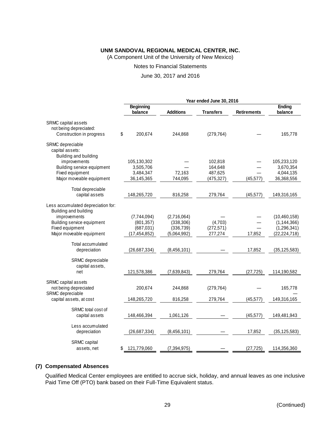(A Component Unit of the University of New Mexico)

Notes to Financial Statements

June 30, 2017 and 2016

|                                                                                  |                             | Year ended June 30, 2016 |                  |                    |                   |  |  |  |
|----------------------------------------------------------------------------------|-----------------------------|--------------------------|------------------|--------------------|-------------------|--|--|--|
|                                                                                  | <b>Beginning</b><br>balance | <b>Additions</b>         | <b>Transfers</b> | <b>Retirements</b> | Ending<br>balance |  |  |  |
| <b>SRMC</b> capital assets<br>not being depreciated:<br>Construction in progress | \$<br>200,674               | 244,868                  | (279, 764)       |                    | 165,778           |  |  |  |
| SRMC depreciable<br>capital assets:<br>Building and building<br>improvements     | 105,130,302                 |                          | 102,818          |                    | 105,233,120       |  |  |  |
| Building service equipment                                                       | 3,505,706                   |                          | 164,648          |                    | 3,670,354         |  |  |  |
| Fixed equipment                                                                  | 3,484,347                   | 72,163                   | 487,625          |                    | 4,044,135         |  |  |  |
| Major moveable equipment                                                         | 36,145,365                  | 744,095                  | (475, 327)       | (45, 577)          | 36,368,556        |  |  |  |
|                                                                                  |                             |                          |                  |                    |                   |  |  |  |
| Total depreciable<br>capital assets                                              | 148,265,720                 | 816,258                  | 279,764          | (45, 577)          | 149,316,165       |  |  |  |
| Less accumulated depreciation for:<br>Building and building                      |                             |                          |                  |                    |                   |  |  |  |
| improvements                                                                     | (7,744,094)                 | (2,716,064)              |                  |                    | (10, 460, 158)    |  |  |  |
| Building service equipment                                                       | (801, 357)                  | (338, 306)               | (4,703)          |                    | (1, 144, 366)     |  |  |  |
| Fixed equipment                                                                  | (687, 031)                  | (336, 739)               | (272, 571)       |                    | (1, 296, 341)     |  |  |  |
| Major moveable equipment                                                         | (17, 454, 852)              | (5,064,992)              | 277,274          | 17,852             | (22, 224, 718)    |  |  |  |
| Total accumulated<br>depreciation                                                | (26, 687, 334)              | (8,456,101)              |                  | 17,852             | (35, 125, 583)    |  |  |  |
| SRMC depreciable<br>capital assets,                                              |                             |                          |                  |                    |                   |  |  |  |
| net                                                                              | 121,578,386                 | (7,639,843)              | 279,764          | (27, 725)          | 114,190,582       |  |  |  |
| <b>SRMC</b> capital assets<br>not being depreciated<br>SRMC depreciable          | 200,674                     | 244,868                  | (279, 764)       |                    | 165,778           |  |  |  |
| capital assets, at cost                                                          | 148,265,720                 | 816,258                  | 279,764          | (45, 577)          | 149,316,165       |  |  |  |
| SRMC total cost of<br>capital assets                                             | 148,466,394                 | 1,061,126                |                  | (45, 577)          | 149,481,943       |  |  |  |
|                                                                                  |                             |                          |                  |                    |                   |  |  |  |
| Less accumulated<br>depreciation                                                 | (26, 687, 334)              | (8,456,101)              |                  | 17,852             | (35, 125, 583)    |  |  |  |
| SRMC capital<br>assets, net                                                      | 121,779,060<br>\$           | (7, 394, 975)            |                  | (27, 725)          | 114,356,360       |  |  |  |

#### **(7) Compensated Absences**

Qualified Medical Center employees are entitled to accrue sick, holiday, and annual leaves as one inclusive Paid Time Off (PTO) bank based on their Full-Time Equivalent status.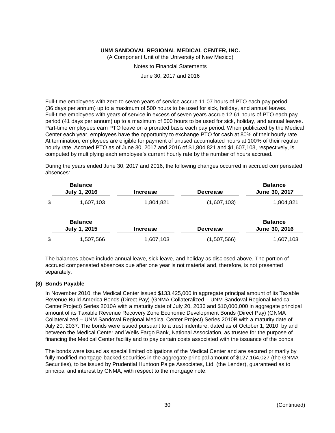(A Component Unit of the University of New Mexico)

Notes to Financial Statements

June 30, 2017 and 2016

Full-time employees with zero to seven years of service accrue 11.07 hours of PTO each pay period (36 days per annum) up to a maximum of 500 hours to be used for sick, holiday, and annual leaves. Full-time employees with years of service in excess of seven years accrue 12.61 hours of PTO each pay period (41 days per annum) up to a maximum of 500 hours to be used for sick, holiday, and annual leaves. Part-time employees earn PTO leave on a prorated basis each pay period. When publicized by the Medical Center each year, employees have the opportunity to exchange PTO for cash at 80% of their hourly rate. At termination, employees are eligible for payment of unused accumulated hours at 100% of their regular hourly rate. Accrued PTO as of June 30, 2017 and 2016 of \$1,804,821 and \$1,607,103, respectively, is computed by multiplying each employee's current hourly rate by the number of hours accrued.

During the years ended June 30, 2017 and 2016, the following changes occurred in accrued compensated absences:

| <b>Balance</b><br><b>July 1, 2016</b> | Increase  | <b>Decrease</b> | <b>Balance</b><br>June 30, 2017 |
|---------------------------------------|-----------|-----------------|---------------------------------|
| \$<br>1,607,103                       | 1,804,821 | (1,607,103)     | 1,804,821                       |
| <b>Balance</b><br>July 1, 2015        | Increase  | <b>Decrease</b> | <b>Balance</b><br>June 30, 2016 |
| \$<br>1,507,566                       | 1,607,103 | (1,507,566)     | 1,607,103                       |

The balances above include annual leave, sick leave, and holiday as disclosed above. The portion of accrued compensated absences due after one year is not material and, therefore, is not presented separately.

#### **(8) Bonds Payable**

In November 2010, the Medical Center issued \$133,425,000 in aggregate principal amount of its Taxable Revenue Build America Bonds (Direct Pay) (GNMA Collateralized – UNM Sandoval Regional Medical Center Project) Series 2010A with a maturity date of July 20, 2036 and \$10,000,000 in aggregate principal amount of its Taxable Revenue Recovery Zone Economic Development Bonds (Direct Pay) (GNMA Collateralized – UNM Sandoval Regional Medical Center Project) Series 2010B with a maturity date of July 20, 2037. The bonds were issued pursuant to a trust indenture, dated as of October 1, 2010, by and between the Medical Center and Wells Fargo Bank, National Association, as trustee for the purpose of financing the Medical Center facility and to pay certain costs associated with the issuance of the bonds.

The bonds were issued as special limited obligations of the Medical Center and are secured primarily by fully modified mortgage-backed securities in the aggregate principal amount of \$127,164,027 (the GNMA Securities), to be issued by Prudential Huntoon Paige Associates, Ltd. (the Lender), guaranteed as to principal and interest by GNMA, with respect to the mortgage note.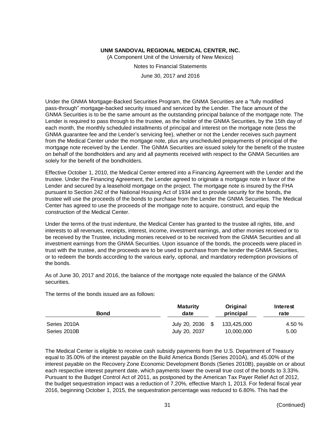(A Component Unit of the University of New Mexico)

Notes to Financial Statements June 30, 2017 and 2016

Under the GNMA Mortgage-Backed Securities Program, the GNMA Securities are a "fully modified pass-through" mortgage-backed security issued and serviced by the Lender. The face amount of the GNMA Securities is to be the same amount as the outstanding principal balance of the mortgage note. The Lender is required to pass through to the trustee, as the holder of the GNMA Securities, by the 15th day of each month, the monthly scheduled installments of principal and interest on the mortgage note (less the GNMA guarantee fee and the Lender's servicing fee), whether or not the Lender receives such payment from the Medical Center under the mortgage note, plus any unscheduled prepayments of principal of the mortgage note received by the Lender. The GNMA Securities are issued solely for the benefit of the trustee on behalf of the bondholders and any and all payments received with respect to the GNMA Securities are solely for the benefit of the bondholders.

Effective October 1, 2010, the Medical Center entered into a Financing Agreement with the Lender and the trustee. Under the Financing Agreement, the Lender agreed to originate a mortgage note in favor of the Lender and secured by a leasehold mortgage on the project. The mortgage note is insured by the FHA pursuant to Section 242 of the National Housing Act of 1934 and to provide security for the bonds, the trustee will use the proceeds of the bonds to purchase from the Lender the GNMA Securities. The Medical Center has agreed to use the proceeds of the mortgage note to acquire, construct, and equip the construction of the Medical Center.

Under the terms of the trust indenture, the Medical Center has granted to the trustee all rights, title, and interests to all revenues, receipts, interest, income, investment earnings, and other monies received or to be received by the Trustee, including monies received or to be received from the GNMA Securities and all investment earnings from the GNMA Securities. Upon issuance of the bonds, the proceeds were placed in trust with the trustee, and the proceeds are to be used to purchase from the lender the GNMA Securities, or to redeem the bonds according to the various early, optional, and mandatory redemption provisions of the bonds.

As of June 30, 2017 and 2016, the balance of the mortgage note equaled the balance of the GNMA securities.

The terms of the bonds issued are as follows:

| <b>Bond</b>  | <b>Maturity</b><br>date | Original<br>principal | Interest<br>rate |
|--------------|-------------------------|-----------------------|------------------|
| Series 2010A | July 20, 2036           | 133,425,000           | 4.50 %           |
| Series 2010B | July 20, 2037           | 10,000,000            | 5.00             |

The Medical Center is eligible to receive cash subsidy payments from the U.S. Department of Treasury equal to 35.00% of the interest payable on the Build America Bonds (Series 2010A), and 45.00% of the interest payable on the Recovery Zone Economic Development Bonds (Series 2010B), payable on or about each respective interest payment date, which payments lower the overall true cost of the bonds to 3.33%. Pursuant to the Budget Control Act of 2011, as postponed by the American Tax Payer Relief Act of 2012, the budget sequestration impact was a reduction of 7.20%, effective March 1, 2013. For federal fiscal year 2016, beginning October 1, 2015, the sequestration percentage was reduced to 6.80%. This had the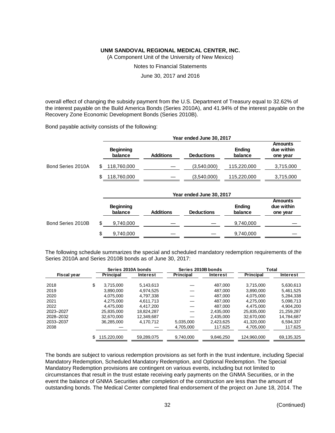(A Component Unit of the University of New Mexico)

Notes to Financial Statements

June 30, 2017 and 2016

overall effect of changing the subsidy payment from the U.S. Department of Treasury equal to 32.62% of the interest payable on the Build America Bonds (Series 2010A), and 41.94% of the interest payable on the Recovery Zone Economic Development Bonds (Series 2010B).

Bond payable activity consists of the following:

|                   | Year ended June 30, 2017    |                          |                   |                          |                                          |  |  |  |
|-------------------|-----------------------------|--------------------------|-------------------|--------------------------|------------------------------------------|--|--|--|
|                   | <b>Beginning</b><br>balance | <b>Additions</b>         | <b>Deductions</b> | Ending<br>balance        | <b>Amounts</b><br>due within<br>one year |  |  |  |
| Bond Series 2010A | \$<br>118,760,000           |                          | (3,540,000)       | 115,220,000              | 3,715,000                                |  |  |  |
|                   | \$<br>118,760,000           |                          | (3,540,000)       | 115,220,000              | 3,715,000                                |  |  |  |
|                   |                             | Year ended June 30, 2017 |                   |                          |                                          |  |  |  |
|                   | <b>Beginning</b><br>balance | <b>Additions</b>         | <b>Deductions</b> | <b>Ending</b><br>balance | <b>Amounts</b><br>due within<br>one year |  |  |  |
| Bond Series 2010B | \$<br>9,740,000             |                          |                   | 9,740,000                |                                          |  |  |  |
|                   | \$<br>9,740,000             |                          |                   | 9,740,000                |                                          |  |  |  |

The following schedule summarizes the special and scheduled mandatory redemption requirements of the Series 2010A and Series 2010B bonds as of June 30, 2017:

|                    | Series 2010A bonds |             | Series 2010B bonds |           | Total           |             |                 |
|--------------------|--------------------|-------------|--------------------|-----------|-----------------|-------------|-----------------|
| <b>Fiscal year</b> |                    | Principal   | <b>Interest</b>    | Principal | <b>Interest</b> | Principal   | <b>Interest</b> |
| 2018               | \$                 | 3.715.000   | 5,143,613          |           | 487.000         | 3.715.000   | 5,630,613       |
| 2019               |                    | 3.890.000   | 4.974.525          |           | 487.000         | 3.890.000   | 5.461.525       |
| 2020               |                    | 4.075.000   | 4,797,338          |           | 487.000         | 4.075.000   | 5,284,338       |
| 2021               |                    | 4.275.000   | 4.611.713          |           | 487.000         | 4.275.000   | 5.098.713       |
| 2022               |                    | 4.475.000   | 4.417.200          |           | 487.000         | 4.475.000   | 4.904.200       |
| 2023-2027          |                    | 25.835.000  | 18.824.287         |           | 2.435.000       | 25,835,000  | 21,259,287      |
| 2028-2032          |                    | 32.670.000  | 12.349.687         |           | 2.435.000       | 32.670.000  | 14,784,687      |
| 2033-2037          |                    | 36.285.000  | 4.170.712          | 5,035,000 | 2,423,625       | 41,320,000  | 6,594,337       |
| 2038               |                    |             |                    | 4.705.000 | 117.625         | 4.705.000   | 117,625         |
|                    |                    | 115,220,000 | 59,289,075         | 9,740,000 | 9,846,250       | 124,960,000 | 69,135,325      |

The bonds are subject to various redemption provisions as set forth in the trust indenture, including Special Mandatory Redemption, Scheduled Mandatory Redemption, and Optional Redemption. The Special Mandatory Redemption provisions are contingent on various events, including but not limited to circumstances that result in the trust estate receiving early payments on the GNMA Securities, or in the event the balance of GNMA Securities after completion of the construction are less than the amount of outstanding bonds. The Medical Center completed final endorsement of the project on June 18, 2014. The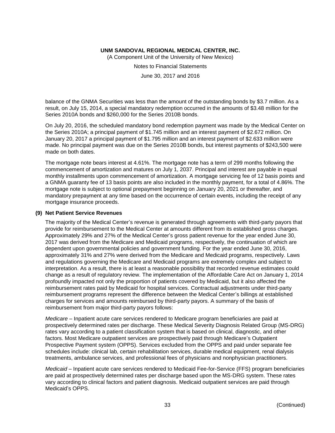(A Component Unit of the University of New Mexico)

Notes to Financial Statements June 30, 2017 and 2016

balance of the GNMA Securities was less than the amount of the outstanding bonds by \$3.7 million. As a result, on July 15, 2014, a special mandatory redemption occurred in the amounts of \$3.48 million for the Series 2010A bonds and \$260,000 for the Series 2010B bonds.

On July 20, 2016, the scheduled mandatory bond redemption payment was made by the Medical Center on the Series 2010A; a principal payment of \$1.745 million and an interest payment of \$2.672 million. On January 20, 2017 a principal payment of \$1.795 million and an interest payment of \$2.633 million were made. No principal payment was due on the Series 2010B bonds, but interest payments of \$243,500 were made on both dates.

The mortgage note bears interest at 4.61%. The mortgage note has a term of 299 months following the commencement of amortization and matures on July 1, 2037. Principal and interest are payable in equal monthly installments upon commencement of amortization. A mortgage servicing fee of 12 basis points and a GNMA guaranty fee of 13 basis points are also included in the monthly payment, for a total of 4.86%. The mortgage note is subject to optional prepayment beginning on January 20, 2021 or thereafter, and mandatory prepayment at any time based on the occurrence of certain events, including the receipt of any mortgage insurance proceeds.

#### **(9) Net Patient Service Revenues**

The majority of the Medical Center's revenue is generated through agreements with third-party payors that provide for reimbursement to the Medical Center at amounts different from its established gross charges. Approximately 29% and 27% of the Medical Center's gross patient revenue for the year ended June 30, 2017 was derived from the Medicare and Medicaid programs, respectively, the continuation of which are dependent upon governmental policies and government funding. For the year ended June 30, 2016, approximately 31% and 27% were derived from the Medicare and Medicaid programs, respectively. Laws and regulations governing the Medicare and Medicaid programs are extremely complex and subject to interpretation. As a result, there is at least a reasonable possibility that recorded revenue estimates could change as a result of regulatory review. The implementation of the Affordable Care Act on January 1, 2014 profoundly impacted not only the proportion of patients covered by Medicaid, but it also affected the reimbursement rates paid by Medicaid for hospital services. Contractual adjustments under third-party reimbursement programs represent the difference between the Medical Center's billings at established charges for services and amounts reimbursed by third-party payors. A summary of the basis of reimbursement from major third-party payors follows:

*Medicare* – Inpatient acute care services rendered to Medicare program beneficiaries are paid at prospectively determined rates per discharge. These Medical Severity Diagnosis Related Group (MS-DRG) rates vary according to a patient classification system that is based on clinical, diagnostic, and other factors. Most Medicare outpatient services are prospectively paid through Medicare's Outpatient Prospective Payment system (OPPS). Services excluded from the OPPS and paid under separate fee schedules include: clinical lab, certain rehabilitation services, durable medical equipment, renal dialysis treatments, ambulance services, and professional fees of physicians and nonphysician practitioners.

*Medicaid* – Inpatient acute care services rendered to Medicaid Fee-for-Service (FFS) program beneficiaries are paid at prospectively determined rates per discharge based upon the MS-DRG system. These rates vary according to clinical factors and patient diagnosis. Medicaid outpatient services are paid through Medicaid's OPPS.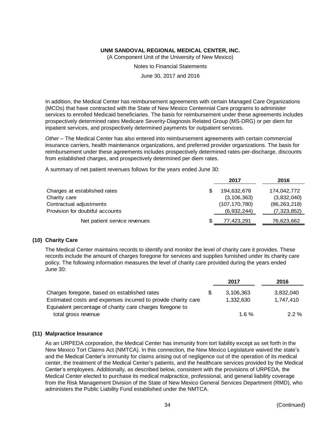(A Component Unit of the University of New Mexico)

Notes to Financial Statements

June 30, 2017 and 2016

In addition, the Medical Center has reimbursement agreements with certain Managed Care Organizations (MCOs) that have contracted with the State of New Mexico Centennial Care programs to administer services to enrolled Medicaid beneficiaries. The basis for reimbursement under these agreements includes prospectively determined rates Medicare Severity-Diagnosis Related Group (MS-DRG) or per diem for inpatient services, and prospectively determined payments for outpatient services.

*Other* – The Medical Center has also entered into reimbursement agreements with certain commercial insurance carriers, health maintenance organizations, and preferred provider organizations. The basis for reimbursement under these agreements includes prospectively determined rates-per-discharge, discounts from established charges, and prospectively determined per diem rates.

A summary of net patient revenues follows for the years ended June 30:

|                                 | 2017            | 2016           |
|---------------------------------|-----------------|----------------|
| Charges at established rates    | 194,632,678     | 174,042,772    |
| Charity care                    | (3, 106, 363)   | (3,832,040)    |
| Contractual adjustments         | (107, 170, 780) | (86, 263, 218) |
| Provision for doubtful accounts | (6,932,244)     | (7, 323, 852)  |
| Net patient service revenues    | 77,423,291      | 76,623,662     |

#### **(10) Charity Care**

The Medical Center maintains records to identify and monitor the level of charity care it provides. These records include the amount of charges foregone for services and supplies furnished under its charity care policy. The following information measures the level of charity care provided during the years ended June 30:

|                                                                            |  | 2017      | 2016      |
|----------------------------------------------------------------------------|--|-----------|-----------|
| Charges foregone, based on established rates                               |  | 3.106.363 | 3.832.040 |
| Estimated costs and expenses incurred to provide charity care<br>1.332.630 |  | 1.747.410 |           |
| Equivalent percentage of charity care charges foregone to                  |  |           |           |
| total gross revenue                                                        |  | 1.6%      | $2.2 \%$  |

#### **(11) Malpractice Insurance**

As an URPEDA corporation, the Medical Center has immunity from tort liability except as set forth in the New Mexico Tort Claims Act (NMTCA). In this connection, the New Mexico Legislature waived the state's and the Medical Center's immunity for claims arising out of negligence out of the operation of its medical center, the treatment of the Medical Center's patients, and the healthcare services provided by the Medical Center's employees. Additionally, as described below, consistent with the provisions of URPEDA, the Medical Center elected to purchase its medical malpractice, professional, and general liability coverage from the Risk Management Division of the State of New Mexico General Services Department (RMD), who administers the Public Liability Fund established under the NMTCA.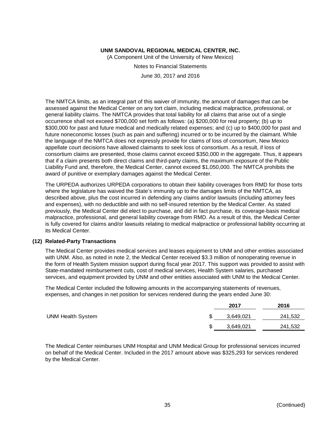(A Component Unit of the University of New Mexico)

Notes to Financial Statements June 30, 2017 and 2016

The NMTCA limits, as an integral part of this waiver of immunity, the amount of damages that can be assessed against the Medical Center on any tort claim, including medical malpractice, professional, or general liability claims. The NMTCA provides that total liability for all claims that arise out of a single occurrence shall not exceed \$700,000 set forth as follows: (a) \$200,000 for real property; (b) up to \$300,000 for past and future medical and medically related expenses; and (c) up to \$400,000 for past and future noneconomic losses (such as pain and suffering) incurred or to be incurred by the claimant. While the language of the NMTCA does not expressly provide for claims of loss of consortium, New Mexico appellate court decisions have allowed claimants to seek loss of consortium. As a result, if loss of consortium claims are presented, those claims cannot exceed \$350,000 in the aggregate. Thus, it appears that if a claim presents both direct claims and third-party claims, the maximum exposure of the Public Liability Fund and, therefore, the Medical Center, cannot exceed \$1,050,000. The NMTCA prohibits the award of punitive or exemplary damages against the Medical Center.

The URPEDA authorizes URPEDA corporations to obtain their liability coverages from RMD for those torts where the legislature has waived the State's immunity up to the damages limits of the NMTCA, as described above, plus the cost incurred in defending any claims and/or lawsuits (including attorney fees and expenses), with no deductible and with no self-insured retention by the Medical Center. As stated previously, the Medical Center did elect to purchase, and did in fact purchase, its coverage-basis medical malpractice, professional, and general liability coverage from RMD. As a result of this, the Medical Center is fully covered for claims and/or lawsuits relating to medical malpractice or professional liability occurring at its Medical Center.

#### **(12) Related-Party Transactions**

The Medical Center provides medical services and leases equipment to UNM and other entities associated with UNM. Also, as noted in note 2, the Medical Center received \$3.3 million of nonoperating revenue in the form of Health System mission support during fiscal year 2017. This support was provided to assist with State-mandated reimbursement cuts, cost of medical services, Health System salaries, purchased services, and equipment provided by UNM and other entities associated with UNM to the Medical Center.

The Medical Center included the following amounts in the accompanying statements of revenues, expenses, and changes in net position for services rendered during the years ended June 30:

|                          | 2017      | 2016    |
|--------------------------|-----------|---------|
| <b>UNM Health System</b> | 3,649,021 | 241,532 |
|                          | 3,649,021 | 241,532 |

The Medical Center reimburses UNM Hospital and UNM Medical Group for professional services incurred on behalf of the Medical Center. Included in the 2017 amount above was \$325,293 for services rendered by the Medical Center.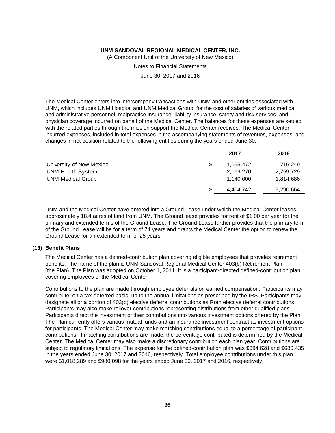(A Component Unit of the University of New Mexico)

Notes to Financial Statements

June 30, 2017 and 2016

The Medical Center enters into intercompany transactions with UNM and other entities associated with UNM, which includes UNM Hospital and UNM Medical Group, for the cost of salaries of various medical and administrative personnel, malpractice insurance, liability insurance, safety and risk services, and physician coverage incurred on behalf of the Medical Center. The balances for these expenses are settled with the related parties through the mission support the Medical Center receives. The Medical Center incurred expenses, included in total expenses in the accompanying statements of revenues, expenses, and changes in net position related to the following entities during the years ended June 30:

|                          | 2017            | 2016      |
|--------------------------|-----------------|-----------|
| University of New Mexico | \$<br>1,095,472 | 716,249   |
| <b>UNM Health System</b> | 2,169,270       | 2,759,729 |
| <b>UNM Medical Group</b> | 1,140,000       | 1,814,686 |
|                          | 4,404,742       | 5,290,664 |

UNM and the Medical Center have entered into a Ground Lease under which the Medical Center leases approximately 18.4 acres of land from UNM. The Ground lease provides for rent of \$1.00 per year for the primary and extended terms of the Ground Lease. The Ground Lease further provides that the primary term of the Ground Lease will be for a term of 74 years and grants the Medical Center the option to renew the Ground Lease for an extended term of 25 years.

#### **(13) Benefit Plans**

The Medical Center has a defined-contribution plan covering eligible employees that provides retirement benefits. The name of the plan is UNM Sandoval Regional Medical Center 403(b) Retirement Plan (the Plan). The Plan was adopted on October 1, 2011. It is a participant-directed defined-contribution plan covering employees of the Medical Center.

Contributions to the plan are made through employee deferrals on earned compensation. Participants may contribute, on a tax-deferred basis, up to the annual limitations as prescribed by the IRS. Participants may designate all or a portion of 403(b) elective deferral contributions as Roth elective deferral contributions. Participants may also make rollover contributions representing distributions from other qualified plans. Participants direct the investment of their contributions into various investment options offered by the Plan. The Plan currently offers various mutual funds and an insurance investment contract as investment options for participants. The Medical Center may make matching contributions equal to a percentage of participant contributions. If matching contributions are made, the percentage contributed is determined by the Medical Center. The Medical Center may also make a discretionary contribution each plan year. Contributions are subject to regulatory limitations. The expense for the defined-contribution plan was \$694,628 and \$680,435 in the years ended June 30, 2017 and 2016, respectively. Total employee contributions under this plan were \$1,018,289 and \$980,098 for the years ended June 30, 2017 and 2016, respectively.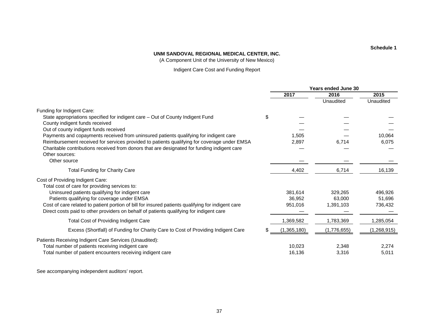(A Component Unit of the University of New Mexico)

Indigent Care Cost and Funding Report

|                                                                                                   | Years ended June 30 |             |             |             |
|---------------------------------------------------------------------------------------------------|---------------------|-------------|-------------|-------------|
|                                                                                                   |                     | 2017        | 2016        | 2015        |
|                                                                                                   |                     |             | Unaudited   | Unaudited   |
| Funding for Indigent Care:                                                                        |                     |             |             |             |
| State appropriations specified for indigent care - Out of County Indigent Fund                    | \$                  |             |             |             |
| County indigent funds received                                                                    |                     |             |             |             |
| Out of county indigent funds received                                                             |                     |             |             |             |
| Payments and copayments received from uninsured patients qualifying for indigent care             |                     | 1,505       |             | 10,064      |
| Reimbursement received for services provided to patients qualifying for coverage under EMSA       |                     | 2,897       | 6,714       | 6,075       |
| Charitable contributions received from donors that are designated for funding indigent care       |                     |             |             |             |
| Other sources:                                                                                    |                     |             |             |             |
| Other source                                                                                      |                     |             |             |             |
| <b>Total Funding for Charity Care</b>                                                             |                     | 4,402       | 6,714       | 16,139      |
| Cost of Providing Indigent Care:                                                                  |                     |             |             |             |
| Total cost of care for providing services to:                                                     |                     |             |             |             |
| Uninsured patients qualifying for indigent care                                                   |                     | 381,614     | 329,265     | 496,926     |
| Patients qualifying for coverage under EMSA                                                       |                     | 36,952      | 63,000      | 51,696      |
| Cost of care related to patient portion of bill for insured patients qualifying for indigent care |                     | 951,016     | 1,391,103   | 736,432     |
| Direct costs paid to other providers on behalf of patients qualifying for indigent care           |                     |             |             |             |
| Total Cost of Providing Indigent Care                                                             |                     | 1,369,582   | 1,783,369   | 1,285,054   |
| Excess (Shortfall) of Funding for Charity Care to Cost of Providing Indigent Care                 |                     | (1,365,180) | (1,776,655) | (1,268,915) |
| Patients Receiving Indigent Care Services (Unaudited):                                            |                     |             |             |             |
| Total number of patients receiving indigent care                                                  |                     | 10,023      | 2,348       | 2,274       |
| Total number of patient encounters receiving indigent care                                        |                     | 16,136      | 3,316       | 5,011       |
|                                                                                                   |                     |             |             |             |

See accompanying independent auditors' report.

**Schedule 1**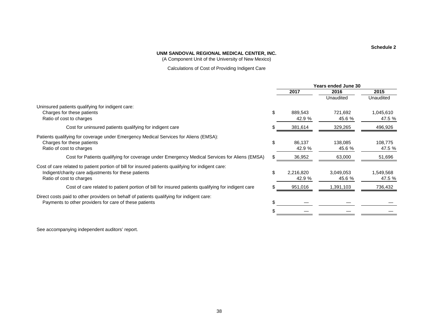(A Component Unit of the University of New Mexico)

Calculations of Cost of Providing Indigent Care

|                                                                                                                                                                                        |     | <b>Years ended June 30</b> |                     |                     |
|----------------------------------------------------------------------------------------------------------------------------------------------------------------------------------------|-----|----------------------------|---------------------|---------------------|
|                                                                                                                                                                                        |     | 2017                       | 2016<br>Unaudited   | 2015<br>Unaudited   |
| Uninsured patients qualifying for indigent care:<br>Charges for these patients<br>Ratio of cost to charges                                                                             | \$. | 889,543<br>42.9 %          | 721,692<br>45.6 %   | 1,045,610<br>47.5 % |
| Cost for uninsured patients qualifying for indigent care                                                                                                                               |     | 381,614                    | 329,265             | 496,926             |
| Patients qualifying for coverage under Emergency Medical Services for Aliens (EMSA):<br>Charges for these patients<br>Ratio of cost to charges                                         | \$  | 86,137<br>42.9 %           | 138,085<br>45.6 %   | 108,775<br>47.5 %   |
| Cost for Patients qualifying for coverage under Emergency Medical Services for Aliens (EMSA)                                                                                           |     | 36,952                     | 63,000              | 51,696              |
| Cost of care related to patient portion of bill for insured patients qualifying for indigent care:<br>Indigent/charity care adjustments for these patients<br>Ratio of cost to charges | \$. | 2,216,820<br>42.9 %        | 3,049,053<br>45.6 % | 1,549,568<br>47.5 % |
| Cost of care related to patient portion of bill for insured patients qualifying for indigent care                                                                                      |     | 951,016                    | 1,391,103           | 736,432             |
| Direct costs paid to other providers on behalf of patients qualifying for indigent care:<br>Payments to other providers for care of these patients                                     |     |                            |                     |                     |

See accompanying independent auditors' report.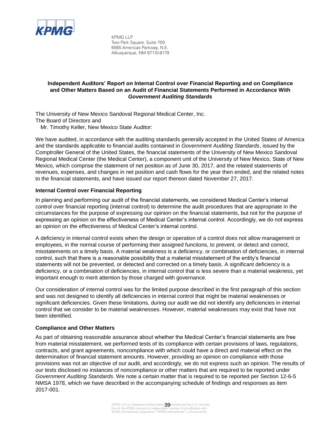

KPMG LLP Two Park Square, Suite 700 6565 Americas Parkway, N.E. Albuquerque, NM 87110-8179

#### **Independent Auditors' Report on Internal Control over Financial Reporting and on Compliance and Other Matters Based on an Audit of Financial Statements Performed in Accordance With**  *Government Auditing Standards*

The University of New Mexico Sandoval Regional Medical Center, Inc. The Board of Directors and

Mr. Timothy Keller, New Mexico State Auditor:

We have audited, in accordance with the auditing standards generally accepted in the United States of America and the standards applicable to financial audits contained in *Government Auditing Standards*, issued by the Comptroller General of the United States, the financial statements of the University of New Mexico Sandoval Regional Medical Center (the Medical Center), a component unit of the University of New Mexico, State of New Mexico, which comprise the statement of net position as of June 30, 2017, and the related statements of revenues, expenses, and changes in net position and cash flows for the year then ended, and the related notes to the financial statements, and have issued our report thereon dated November 27, 2017.

#### **Internal Control over Financial Reporting**

In planning and performing our audit of the financial statements, we considered Medical Center's internal control over financial reporting (internal control) to determine the audit procedures that are appropriate in the circumstances for the purpose of expressing our opinion on the financial statements, but not for the purpose of expressing an opinion on the effectiveness of Medical Center's internal control. Accordingly, we do not express an opinion on the effectiveness of Medical Center's internal control.

A deficiency in internal control exists when the design or operation of a control does not allow management or employees, in the normal course of performing their assigned functions, to prevent, or detect and correct, misstatements on a timely basis. A material weakness is a deficiency, or combination of deficiencies, in internal control, such that there is a reasonable possibility that a material misstatement of the entity's financial statements will not be prevented, or detected and corrected on a timely basis. A significant deficiency is a deficiency, or a combination of deficiencies, in internal control that is less severe than a material weakness, yet important enough to merit attention by those charged with governance.

Our consideration of internal control was for the limited purpose described in the first paragraph of this section and was not designed to identify all deficiencies in internal control that might be material weaknesses or significant deficiencies. Given these limitations, during our audit we did not identify any deficiencies in internal control that we consider to be material weaknesses. However, material weaknesses may exist that have not been identified.

#### **Compliance and Other Matters**

As part of obtaining reasonable assurance about whether the Medical Center's financial statements are free from material misstatement, we performed tests of its compliance with certain provisions of laws, regulations, contracts, and grant agreements, noncompliance with which could have a direct and material effect on the determination of financial statement amounts. However, providing an opinion on compliance with those provisions was not an objective of our audit, and accordingly, we do not express such an opinion. The results of our tests disclosed no instances of noncompliance or other matters that are required to be reported under *Government Auditing Standards*. We note a certain matter that is required to be reported per Section 12-6-5 NMSA 1978, which we have described in the accompanying schedule of findings and responses as item 2017-001.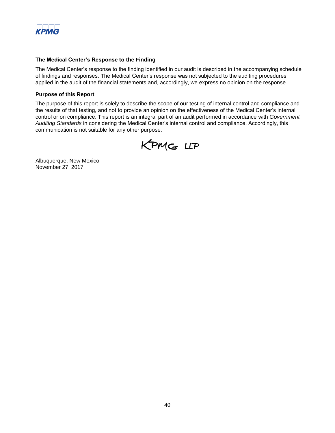

#### **The Medical Center's Response to the Finding**

The Medical Center's response to the finding identified in our audit is described in the accompanying schedule of findings and responses. The Medical Center's response was not subjected to the auditing procedures applied in the audit of the financial statements and, accordingly, we express no opinion on the response.

#### **Purpose of this Report**

The purpose of this report is solely to describe the scope of our testing of internal control and compliance and the results of that testing, and not to provide an opinion on the effectiveness of the Medical Center's internal control or on compliance. This report is an integral part of an audit performed in accordance with *Government Auditing Standards* in considering the Medical Center's internal control and compliance. Accordingly, this communication is not suitable for any other purpose.



Albuquerque, New Mexico November 27, 2017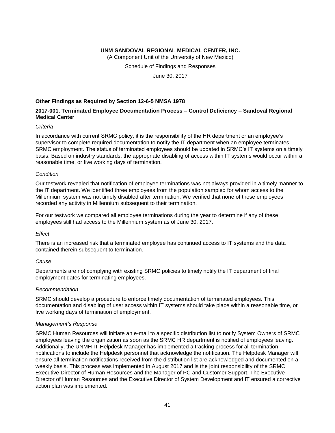(A Component Unit of the University of New Mexico)

Schedule of Findings and Responses

June 30, 2017

#### **Other Findings as Required by Section 12-6-5 NMSA 1978**

#### **2017-001. Terminated Employee Documentation Process – Control Deficiency – Sandoval Regional Medical Center**

#### *Criteria*

In accordance with current SRMC policy, it is the responsibility of the HR department or an employee's supervisor to complete required documentation to notify the IT department when an employee terminates SRMC employment. The status of terminated employees should be updated in SRMC's IT systems on a timely basis. Based on industry standards, the appropriate disabling of access within IT systems would occur within a reasonable time, or five working days of termination.

#### *Condition*

Our testwork revealed that notification of employee terminations was not always provided in a timely manner to the IT department. We identified three employees from the population sampled for whom access to the Millennium system was not timely disabled after termination. We verified that none of these employees recorded any activity in Millennium subsequent to their termination.

For our testwork we compared all employee terminations during the year to determine if any of these employees still had access to the Millennium system as of June 30, 2017.

#### *Effect*

There is an increased risk that a terminated employee has continued access to IT systems and the data contained therein subsequent to termination.

#### *Cause*

Departments are not complying with existing SRMC policies to timely notify the IT department of final employment dates for terminating employees.

#### *Recommendation*

SRMC should develop a procedure to enforce timely documentation of terminated employees. This documentation and disabling of user access within IT systems should take place within a reasonable time, or five working days of termination of employment.

#### *Management's Response*

SRMC Human Resources will initiate an e-mail to a specific distribution list to notify System Owners of SRMC employees leaving the organization as soon as the SRMC HR department is notified of employees leaving. Additionally, the UNMH IT Helpdesk Manager has implemented a tracking process for all termination notifications to include the Helpdesk personnel that acknowledge the notification. The Helpdesk Manager will ensure all termination notifications received from the distribution list are acknowledged and documented on a weekly basis. This process was implemented in August 2017 and is the joint responsibility of the SRMC Executive Director of Human Resources and the Manager of PC and Customer Support. The Executive Director of Human Resources and the Executive Director of System Development and IT ensured a corrective action plan was implemented.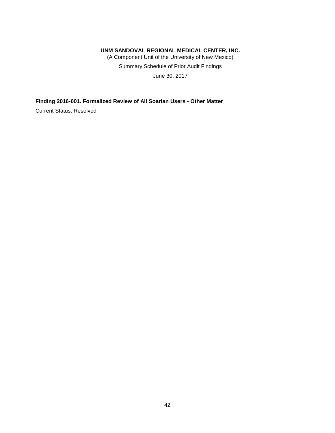(A Component Unit of the University of New Mexico)

Summary Schedule of Prior Audit Findings

June 30, 2017

**Finding 2016-001. Formalized Review of All Soarian Users - Other Matter**

Current Status: Resolved